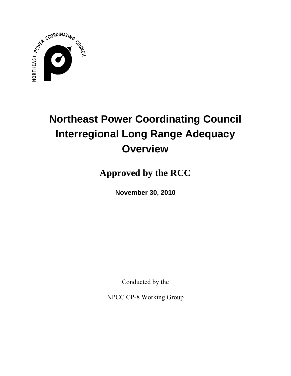

# **Northeast Power Coordinating Council Interregional Long Range Adequacy Overview**

**Approved by the RCC** 

**November 30, 2010** 

Conducted by the

NPCC CP-8 Working Group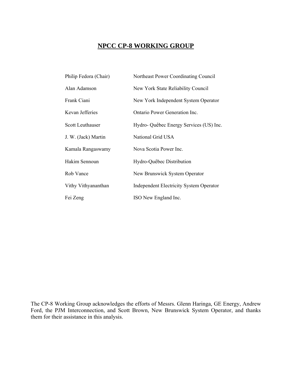## **NPCC CP-8 WORKING GROUP**

| Philip Fedora (Chair) | Northeast Power Coordinating Council    |
|-----------------------|-----------------------------------------|
| Alan Adamson          | New York State Reliability Council      |
| Frank Ciani           | New York Independent System Operator    |
| Kevan Jefferies       | Ontario Power Generation Inc.           |
| Scott Leuthauser      | Hydro-Québec Energy Services (US) Inc.  |
| J. W. (Jack) Martin   | National Grid USA                       |
| Kamala Rangaswamy     | Nova Scotia Power Inc.                  |
| Hakim Sennoun         | Hydro-Québec Distribution               |
| Rob Vance             | New Brunswick System Operator           |
| Vithy Vithyananthan   | Independent Electricity System Operator |
| Fei Zeng              | ISO New England Inc.                    |
|                       |                                         |

The CP-8 Working Group acknowledges the efforts of Messrs. Glenn Haringa, GE Energy, Andrew Ford, the PJM Interconnection, and Scott Brown, New Brunswick System Operator, and thanks them for their assistance in this analysis.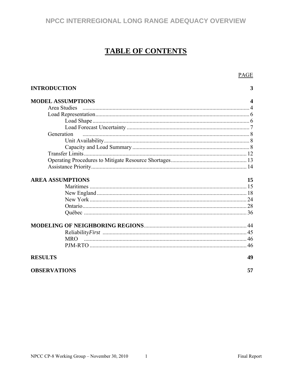## **TABLE OF CONTENTS**

|                          | <b>PAGE</b>      |
|--------------------------|------------------|
| <b>INTRODUCTION</b>      | 3                |
| <b>MODEL ASSUMPTIONS</b> | $\boldsymbol{4}$ |
| <b>Area Studies</b>      |                  |
|                          |                  |
|                          |                  |
|                          |                  |
| Generation               |                  |
|                          |                  |
|                          |                  |
|                          |                  |
|                          |                  |
|                          |                  |
| <b>AREA ASSUMPTIONS</b>  | 15               |
|                          |                  |
|                          |                  |
|                          |                  |
|                          |                  |
|                          |                  |
|                          |                  |
|                          |                  |
|                          |                  |
|                          |                  |
| <b>RESULTS</b>           | 49               |
| <b>OBSERVATIONS</b>      | 57               |

Final Report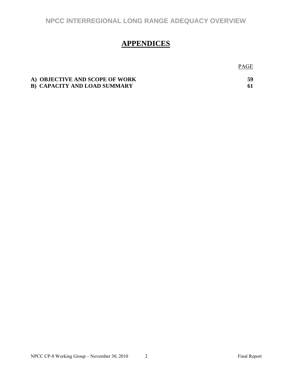## **APPENDICES**

A) OBJECTIVE AND SCOPE OF WORK 59 **B) CAPACITY AND LOAD SUMMARY 61** 

PAGE **PAGE**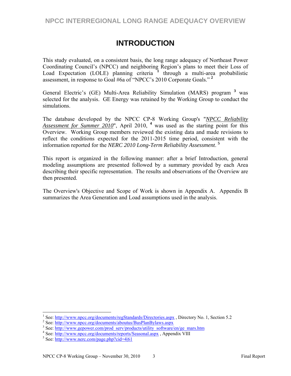## **INTRODUCTION**

This study evaluated, on a consistent basis, the long range adequacy of Northeast Power Coordinating Council's (NPCC) and neighboring Region's plans to meet their Loss of Load Expectation (LOLE) planning criteria **<sup>1</sup>** through a multi-area probabilistic assessment, in response to Goal #6a of "NPCC's 2010 Corporate Goals." **<sup>2</sup>**

General Electric's (GE) Multi-Area Reliability Simulation (MARS) program **<sup>3</sup>** was selected for the analysis. GE Energy was retained by the Working Group to conduct the simulations.

The database developed by the NPCC CP-8 Working Group's "*NPCC Reliability*  Assessment for Summer 2010", April 2010, <sup>4</sup> was used as the starting point for this Overview. Working Group members reviewed the existing data and made revisions to reflect the conditions expected for the 2011-2015 time period, consistent with the information reported for the *NERC 2010 Long-Term Reliability Assessment*. **<sup>5</sup>**

This report is organized in the following manner: after a brief Introduction, general modeling assumptions are presented followed by a summary provided by each Area describing their specific representation. The results and observations of the Overview are then presented.

The Overview's Objective and Scope of Work is shown in Appendix A. Appendix B summarizes the Area Generation and Load assumptions used in the analysis.

 $\overline{a}$ 

<sup>&</sup>lt;sup>1</sup> See:  $\frac{http://www.npc.org/documents/regStandards/Directories.argv}{http://www.npc.org/documents/relevants/PyaPlay.org/Dayways.gov}$ , Directory No. 1, Section 5.2

<sup>&</sup>lt;sup>2</sup> See: http://www.npcc.org/documents/aboutus/BusPlanBylaws.aspx

<sup>&</sup>lt;sup>3</sup> See: http://www.gepower.com/prod\_serv/products/utility\_software/en/ge\_mars.htm

<sup>&</sup>lt;sup>4</sup> See: http://www.npcc.org/documents/reports/Seasonal.aspx, Appendix VIII

 $5$  See: http://www.nerc.com/page.php?cid=4|61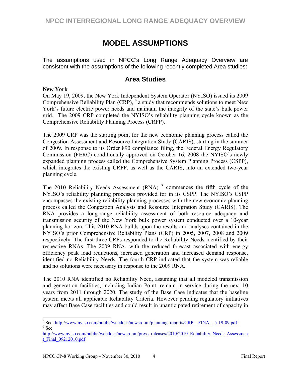## **MODEL ASSUMPTIONS**

The assumptions used in NPCC's Long Range Adequacy Overview are consistent with the assumptions of the following recently completed Area studies:

## **Area Studies**

#### **New York**

 $\overline{a}$ 

On May 19, 2009, the New York Independent System Operator (NYISO) issued its 2009 Comprehensive Reliability Plan (CRP), <sup>6</sup> a study that recommends solutions to meet New York's future electric power needs and maintain the integrity of the state's bulk power grid. The 2009 CRP completed the NYISO's reliability planning cycle known as the Comprehensive Reliability Planning Process (CRPP).

The 2009 CRP was the starting point for the new economic planning process called the Congestion Assessment and Resource Integration Study (CARIS), starting in the summer of 2009. In response to its Order 890 compliance filing, the Federal Energy Regulatory Commission (FERC) conditionally approved on October 16, 2008 the NYISO's newly expanded planning process called the Comprehensive System Planning Process (CSPP), which integrates the existing CRPP, as well as the CARIS, into an extended two-year planning cycle.

The 2010 Reliability Needs Assessment (RNA) **<sup>7</sup>** commences the fifth cycle of the NYISO's reliability planning processes provided for in its CSPP. The NYISO's CSPP encompasses the existing reliability planning processes with the new economic planning process called the Congestion Analysis and Resource Integration Study (CARIS). The RNA provides a long-range reliability assessment of both resource adequacy and transmission security of the New York bulk power system conducted over a 10-year planning horizon. This 2010 RNA builds upon the results and analyses contained in the NYISO's prior Comprehensive Reliability Plans (CRP) in 2005, 2007, 2008 and 2009 respectively. The first three CRPs responded to the Reliability Needs identified by their respective RNAs. The 2009 RNA, with the reduced forecast associated with energy efficiency peak load reductions, increased generation and increased demand response, identified no Reliability Needs. The fourth CRP indicated that the system was reliable and no solutions were necessary in response to the 2009 RNA.

The 2010 RNA identified no Reliability Need, assuming that all modeled transmission and generation facilities, including Indian Point, remain in service during the next 10 years from 2011 through 2020. The study of the Base Case indicates that the baseline system meets all applicable Reliability Criteria. However pending regulatory initiatives may affect Base Case facilities and could result in unanticipated retirement of capacity in

<sup>&</sup>lt;sup>6</sup>See: http://www.nyiso.com/public/webdocs/newsroom/planning\_reports/CRP\_FINAL\_5-19-09.pdf<br>7See:  $^7$  See:

http://www.nyiso.com/public/webdocs/newsroom/press\_releases/2010/2010\_Reliability\_Needs\_Assessmen t\_Final\_09212010.pdf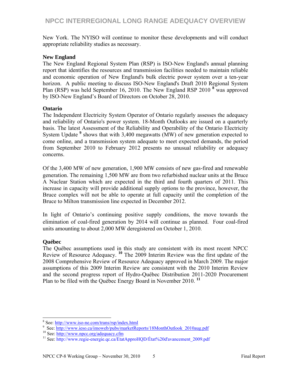New York. The NYISO will continue to monitor these developments and will conduct appropriate reliability studies as necessary.

#### **New England**

The New England Regional System Plan (RSP) is ISO-New England's annual planning report that identifies the resources and transmission facilities needed to maintain reliable and economic operation of New England's bulk electric power system over a ten-year horizon. A public meeting to discuss ISO-New England's Draft 2010 Regional System Plan (RSP) was held September 16, 2010. The New England RSP 2010<sup>8</sup> was approved by ISO-New England's Board of Directors on October 28, 2010.

#### **Ontario**

The Independent Electricity System Operator of Ontario regularly assesses the adequacy and reliability of Ontario's power system. 18-Month Outlooks are issued on a quarterly basis. The latest Assessment of the Reliability and Operability of the Ontario Electricity System Update **<sup>9</sup>** shows that with 3,400 megawatts (MW) of new generation expected to come online, and a transmission system adequate to meet expected demands, the period from September 2010 to February 2012 presents no unusual reliability or adequacy concerns.

Of the 3,400 MW of new generation, 1,900 MW consists of new gas-fired and renewable generation. The remaining 1,500 MW are from two refurbished nuclear units at the Bruce A Nuclear Station which are expected in the third and fourth quarters of 2011. This increase in capacity will provide additional supply options to the province, however, the Bruce complex will not be able to operate at full capacity until the completion of the Bruce to Milton transmission line expected in December 2012.

In light of Ontario's continuing positive supply conditions, the move towards the elimination of coal-fired generation by 2014 will continue as planned. Four coal-fired units amounting to about 2,000 MW deregistered on October 1, 2010.

#### **Québec**

The Québec assumptions used in this study are consistent with its most recent NPCC Review of Resource Adequacy. **<sup>10</sup>** The 2009 Interim Review was the first update of the 2008 Comprehensive Review of Resource Adequacy approved in March 2009. The major assumptions of this 2009 Interim Review are consistent with the 2010 Interim Review and the second progress report of Hydro-Québec Distribution 2011-2020 Procurement Plan to be filed with the Québec Energy Board in November 2010. **<sup>11</sup>**

 8  $\frac{8}{9}$  See:  $\frac{http://www.iso-ne.com/trans/rsp/index.html}{http://www.iso-ne.com/trans/rsp/index.html}$ 

See: http://www.ieso.ca/imoweb/pubs/marketReports/18MonthOutlook\_2010aug.pdf<br><sup>10</sup> See: http://www.npcc.org/adequacy.cfm<br><sup>11</sup> See: http://www.regie-energie.qc.ca/EtatApproHQD/État%20d'avancement\_2009.pdf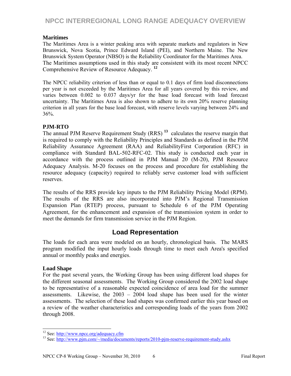#### **Maritimes**

The Maritimes Area is a winter peaking area with separate markets and regulators in New Brunswick, Nova Scotia, Prince Edward Island (PEI), and Northern Maine. The New Brunswick System Operator (NBSO) is the Reliability Coordinator for the Maritimes Area. The Maritimes assumptions used in this study are consistent with its most recent NPCC Comprehensive Review of Resource Adequacy. **<sup>12</sup>**

The NPCC reliability criterion of less than or equal to 0.1 days of firm load disconnections per year is not exceeded by the Maritimes Area for all years covered by this review, and varies between 0.002 to 0.037 days/yr for the base load forecast with load forecast uncertainty. The Maritimes Area is also shown to adhere to its own 20% reserve planning criterion in all years for the base load forecast, with reserve levels varying between 24% and 36%.

#### **PJM-RTO**

The annual PJM Reserve Requirement Study (RRS) **<sup>13</sup>** calculates the reserve margin that is required to comply with the Reliability Principles and Standards as defined in the PJM Reliability Assurance Agreement (RAA) and ReliabilityFirst Corporation (RFC) in compliance with Standard BAL-502-RFC-02. This study is conducted each year in accordance with the process outlined in PJM Manual 20 (M-20), PJM Resource Adequacy Analysis. M-20 focuses on the process and procedure for establishing the resource adequacy (capacity) required to reliably serve customer load with sufficient reserves.

The results of the RRS provide key inputs to the PJM Reliability Pricing Model (RPM). The results of the RRS are also incorporated into PJM's Regional Transmission Expansion Plan (RTEP) process, pursuant to Schedule 6 of the PJM Operating Agreement, for the enhancement and expansion of the transmission system in order to meet the demands for firm transmission service in the PJM Region.

### **Load Representation**

The loads for each area were modeled on an hourly, chronological basis. The MARS program modified the input hourly loads through time to meet each Area's specified annual or monthly peaks and energies.

#### **Load Shape**

 $\overline{a}$ 

For the past several years, the Working Group has been using different load shapes for the different seasonal assessments. The Working Group considered the 2002 load shape to be representative of a reasonable expected coincidence of area load for the summer assessments. Likewise, the 2003 – 2004 load shape has been used for the winter assessments. The selection of these load shapes was confirmed earlier this year based on a review of the weather characteristics and corresponding loads of the years from 2002 through 2008.

<sup>&</sup>lt;sup>12</sup> See: http://www.npcc.org/adequacy.cfm<br>
<sup>13</sup> See: http://www.pjm.com/~/media/documents/reports/2010-pjm-reserve-requirement-study.ashx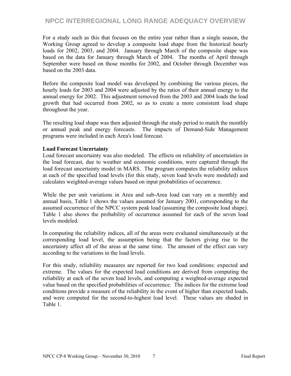For a study such as this that focuses on the entire year rather than a single season, the Working Group agreed to develop a composite load shape from the historical hourly loads for 2002, 2003, and 2004. January through March of the composite shape was based on the data for January through March of 2004. The months of April through September were based on those months for 2002, and October through December was based on the 2003 data.

Before the composite load model was developed by combining the various pieces, the hourly loads for 2003 and 2004 were adjusted by the ratios of their annual energy to the annual energy for 2002. This adjustment removed from the 2003 and 2004 loads the load growth that had occurred from 2002, so as to create a more consistent load shape throughout the year.

The resulting load shape was then adjusted through the study period to match the monthly or annual peak and energy forecasts. The impacts of Demand-Side Management programs were included in each Area's load forecast.

#### **Load Forecast Uncertainty**

Load forecast uncertainty was also modeled.The effects on reliability of uncertainties in the load forecast, due to weather and economic conditions, were captured through the load forecast uncertainty model in MARS. The program computes the reliability indices at each of the specified load levels (for this study, seven load levels were modeled) and calculates weighted-average values based on input probabilities of occurrence.

While the per unit variations in Area and sub-Area load can vary on a monthly and annual basis, Table 1 shows the values assumed for January 2001, corresponding to the assumed occurrence of the NPCC system peak load (assuming the composite load shape). Table 1 also shows the probability of occurrence assumed for each of the seven load levels modeled.

In computing the reliability indices, all of the areas were evaluated simultaneously at the corresponding load level, the assumption being that the factors giving rise to the uncertainty affect all of the areas at the same time. The amount of the effect can vary according to the variations in the load levels.

For this study, reliability measures are reported for two load conditions: expected and extreme. The values for the expected load conditions are derived from computing the reliability at each of the seven load levels, and computing a weighted-average expected value based on the specified probabilities of occurrence. The indices for the extreme load conditions provide a measure of the reliability in the event of higher than expected loads, and were computed for the second-to-highest load level. These values are shaded in Table 1.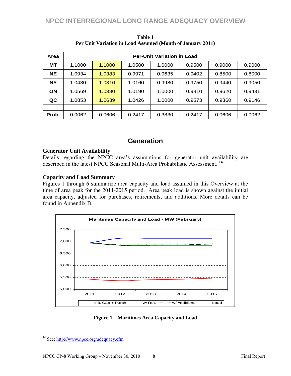| Area      | <b>Per-Unit Variation in Load</b> |        |        |        |        |        |        |  |  |
|-----------|-----------------------------------|--------|--------|--------|--------|--------|--------|--|--|
| MТ        | 1.1000                            | 1.1000 | 1.0500 | 1.0000 | 0.9500 | 0.9000 | 0.9000 |  |  |
| <b>NE</b> | 1.0934                            | 1.0383 | 0.9971 | 0.9635 | 0.9402 | 0.8500 | 0.8000 |  |  |
| <b>NY</b> | 1.0430                            | 1.0310 | 1.0160 | 0.9980 | 0.9750 | 0.9440 | 0.9050 |  |  |
| <b>ON</b> | 1.0569                            | 1.0380 | 1.0190 | 1.0000 | 0.9810 | 0.9620 | 0.9431 |  |  |
| QC        | 1.0853                            | 1.0639 | 1.0426 | 1.0000 | 0.9573 | 0.9360 | 0.9146 |  |  |
|           |                                   |        |        |        |        |        |        |  |  |
| Prob.     | 0.0062                            | 0.0606 | 0.2417 | 0.3830 | 0.2417 | 0.0606 | 0.0062 |  |  |

**Table 1 Per Unit Variation in Load Assumed (Month of January 2011)** 

### **Generation**

#### **Generator Unit Availability**

Details regarding the NPCC area's assumptions for generator unit availability are described in the latest NPCC Seasonal Multi-Area Probabilistic Assessment. **<sup>14</sup>**

#### **Capacity and Load Summary**

Figures 1 through 6 summarize area capacity and load assumed in this Overview at the time of area peak for the 2011-2015 period. Area peak load is shown against the initial area capacity, adjusted for purchases, retirements, and additions. More details can be found in Appendix B.





<sup>14</sup> See: http://www.npcc.org/adequacy.cfm

 $\overline{a}$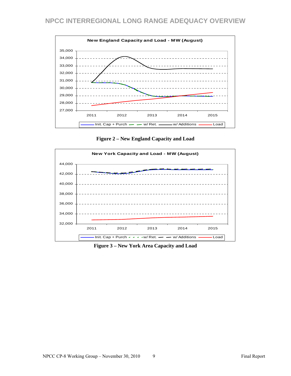

**Figure 2 – New England Capacity and Load** 



**Figure 3 – New York Area Capacity and Load**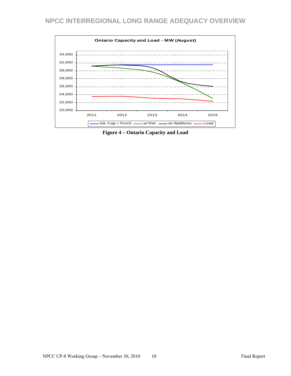

**Figure 4 – Ontario Capacity and Load**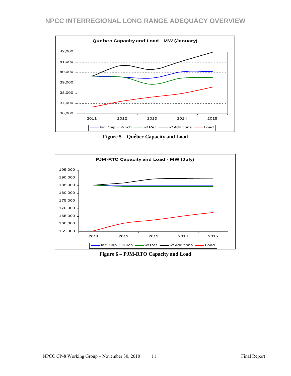

**Figure 5 – Québec Capacity and Load** 



**Figure 6 – PJM-RTO Capacity and Load**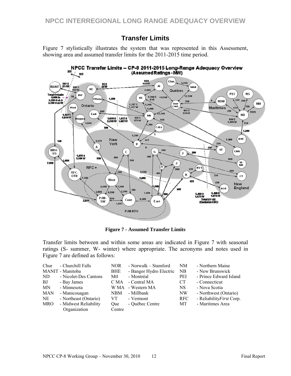## **Transfer Limits**

Figure 7 stylistically illustrates the system that was represented in this Assessment, showing area and assumed transfer limits for the 2011-2015 time period.



**Figure 7 - Assumed Transfer Limits** 

Transfer limits between and within some areas are indicated in Figure 7 with seasonal ratings (S- summer, W- winter) where appropriate. The acronyms and notes used in Figure 7 are defined as follows:

| Chur       | - Churchill Falls     | <b>NOR</b> | - Norwalk – Stamford    | NM              | - Northern Maine          |
|------------|-----------------------|------------|-------------------------|-----------------|---------------------------|
|            | MANIT - Manitoba      | <b>BHE</b> | - Bangor Hydro Electric | NB              | - New Brunswick           |
| ND.        | - Nicolet-Des Cantons | Mtl        | - Montréal              | PEI             | - Prince Edward Island    |
| BJ         | - Bay James           | C MA       | - Central MA            | CT <sup>-</sup> | - Connecticut             |
| MN         | - Minnesota           | W MA       | - Western MA            | NS.             | - Nova Scotia             |
| <b>MAN</b> | - Manicouagan         | <b>NBM</b> | - Millbank              | NW              | - Northwest (Ontario)     |
| NE         | - Northeast (Ontario) | VT.        | - Vermont               | RFC             | - Reliability First Corp. |
| <b>MRO</b> | - Midwest Reliability | Oue        | - Québec Centre         | МT              | - Maritimes Area          |
|            | Organization          | Centre     |                         |                 |                           |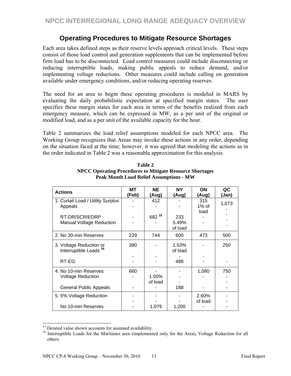## **Operating Procedures to Mitigate Resource Shortages**

Each area takes defined steps as their reserve levels approach critical levels. These steps consist of those load control and generation supplements that can be implemented before firm load has to be disconnected. Load control measures could include disconnecting or reducing interruptible loads, making public appeals to reduce demand, and/or implementing voltage reductions. Other measures could include calling on generation available under emergency conditions, and/or reducing operating reserves.

The need for an area to begin these operating procedures is modeled in MARS by evaluating the daily probabilistic expectation at specified margin states. The user specifies these margin states for each area in terms of the benefits realized from each emergency measure, which can be expressed in MW, as a per unit of the original or modified load, and as a per unit of the available capacity for the hour.

Table 2 summarizes the load relief assumptions modeled for each NPCC area. The Working Group recognizes that Areas may invoke these actions in any order, depending on the situation faced at the time; however, it was agreed that modeling the actions as in the order indicated in Table 2 was a reasonable approximation for this analysis.

| <b>Actions</b>                                               | МT<br>(Feb) | <b>NE</b><br>(Aug) | <b>NY</b><br>(Aug)      | ON<br>(Aug)          | QC<br>(Jan) |
|--------------------------------------------------------------|-------------|--------------------|-------------------------|----------------------|-------------|
| 1. Curtail Load / Utility Surplus<br>Appeals                 |             | 412                |                         | 315<br>1% of<br>load | 1,073       |
| RT-DR/SCR/EDRP<br><b>Manual Voltage Reduction</b>            |             | 682 15             | 233<br>5.49%<br>of load |                      |             |
| 2. No 30-min Reserves                                        | 229         | 744                | 600                     | 473                  | 500         |
| 3. Voltage Reduction or<br>Interruptible Loads <sup>16</sup> | 380         |                    | 1.53%<br>of load        |                      | 250         |
| RT-EG                                                        |             |                    | 488                     |                      |             |
| 4. No 10-min Reserves<br><b>Voltage Reduction</b>            | 660         | 1.50%<br>of load   |                         | 1,080                | 750         |
| <b>General Public Appeals</b>                                |             |                    | 188                     |                      |             |
| 5.5% Voltage Reduction                                       |             |                    |                         | 2.60%<br>of load     |             |
| No 10-min Reserves                                           |             | 1,079              | 1,200                   |                      |             |

**Table 2 NPCC Operating Procedures to Mitigate Resource Shortages Peak Month Load Relief Assumptions - MW** 

l

<sup>&</sup>lt;sup>15</sup> Derated value shown accounts for assumed availability.

<sup>&</sup>lt;sup>16</sup> Interruptible Loads for the Maritimes area (implemented only for the Area), Voltage Reduction for all others.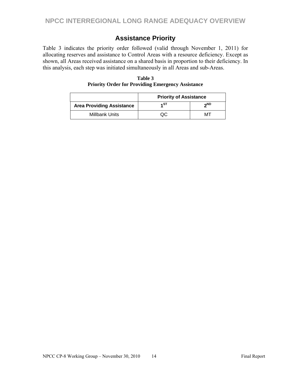## **Assistance Priority**

Table 3 indicates the priority order followed (valid through November 1, 2011) for allocating reserves and assistance to Control Areas with a resource deficiency. Except as shown, all Areas received assistance on a shared basis in proportion to their deficiency. In this analysis, each step was initiated simultaneously in all Areas and sub-Areas.

|                                  | <b>Priority of Assistance</b> |     |  |  |
|----------------------------------|-------------------------------|-----|--|--|
| <b>Area Providing Assistance</b> | ۵ST،                          | ეND |  |  |
| Millbank Units                   |                               |     |  |  |

**Table 3 Priority Order for Providing Emergency Assistance**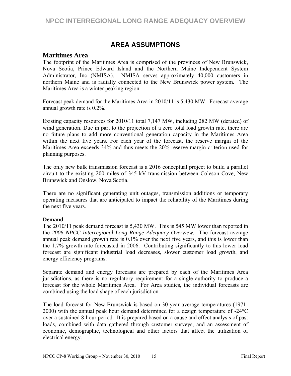## **AREA ASSUMPTIONS**

#### **Maritimes Area**

The footprint of the Maritimes Area is comprised of the provinces of New Brunswick, Nova Scotia, Prince Edward Island and the Northern Maine Independent System Administrator, Inc (NMISA). NMISA serves approximately 40,000 customers in northern Maine and is radially connected to the New Brunswick power system. The Maritimes Area is a winter peaking region.

Forecast peak demand for the Maritimes Area in 2010/11 is 5,430 MW. Forecast average annual growth rate is 0.2%.

Existing capacity resources for 2010/11 total 7,147 MW, including 282 MW (derated) of wind generation. Due in part to the projection of a zero total load growth rate, there are no future plans to add more conventional generation capacity in the Maritimes Area within the next five years. For each year of the forecast, the reserve margin of the Maritimes Area exceeds 34% and thus meets the 20% reserve margin criterion used for planning purposes.

The only new bulk transmission forecast is a 2016 conceptual project to build a parallel circuit to the existing 200 miles of 345 kV transmission between Coleson Cove, New Brunswick and Onslow, Nova Scotia.

There are no significant generating unit outages, transmission additions or temporary operating measures that are anticipated to impact the reliability of the Maritimes during the next five years.

#### **Demand**

The 2010/11 peak demand forecast is 5,430 MW. This is 545 MW lower than reported in the *2006 NPCC Interregional Long Range Adequacy Overview*. The forecast average annual peak demand growth rate is 0.1% over the next five years, and this is lower than the 1.7% growth rate forecasted in 2006. Contributing significantly to this lower load forecast are significant industrial load decreases, slower customer load growth, and energy efficiency programs.

Separate demand and energy forecasts are prepared by each of the Maritimes Area jurisdictions, as there is no regulatory requirement for a single authority to produce a forecast for the whole Maritimes Area. For Area studies, the individual forecasts are combined using the load shape of each jurisdiction.

The load forecast for New Brunswick is based on 30-year average temperatures (1971- 2000) with the annual peak hour demand determined for a design temperature of -24°C over a sustained 8-hour period. It is prepared based on a cause and effect analysis of past loads, combined with data gathered through customer surveys, and an assessment of economic, demographic, technological and other factors that affect the utilization of electrical energy.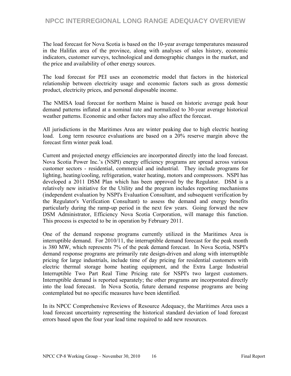The load forecast for Nova Scotia is based on the 10-year average temperatures measured in the Halifax area of the province, along with analyses of sales history, economic indicators, customer surveys, technological and demographic changes in the market, and the price and availability of other energy sources.

The load forecast for PEI uses an econometric model that factors in the historical relationship between electricity usage and economic factors such as gross domestic product, electricity prices, and personal disposable income.

The NMISA load forecast for northern Maine is based on historic average peak hour demand patterns inflated at a nominal rate and normalized to 30-year average historical weather patterns. Economic and other factors may also affect the forecast.

All jurisdictions in the Maritimes Area are winter peaking due to high electric heating load. Long term resource evaluations are based on a 20% reserve margin above the forecast firm winter peak load.

Current and projected energy efficiencies are incorporated directly into the load forecast. Nova Scotia Power Inc.'s (NSPI) energy efficiency programs are spread across various customer sectors - residential, commercial and industrial. They include programs for lighting, heating/cooling, refrigeration, water heating, motors and compressors. NSPI has developed a 2011 DSM Plan which has been approved by the Regulator. DSM is a relatively new initiative for the Utility and the program includes reporting mechanisms (independent evaluation by NSPI's Evaluation Consultant, and subsequent verification by the Regulator's Verification Consultant) to assess the demand and energy benefits particularly during the ramp-up period in the next few years. Going forward the new DSM Administrator, Efficiency Nova Scotia Corporation, will manage this function. This process is expected to be in operation by February 2011.

One of the demand response programs currently utilized in the Maritimes Area is interruptible demand. For 2010/11, the interruptible demand forecast for the peak month is 380 MW, which represents 7% of the peak demand forecast. In Nova Scotia, NSPI's demand response programs are primarily rate design-driven and along with interruptible pricing for large industrials, include time of day pricing for residential customers with electric thermal storage home heating equipment, and the Extra Large Industrial Interruptible Two Part Real Time Pricing rate for NSPI's two largest customers. Interruptible demand is reported separately; the other programs are incorporated directly into the load forecast. In Nova Scotia, future demand response programs are being contemplated but no specific measures have been identified.

In its NPCC Comprehensive Reviews of Resource Adequacy, the Maritimes Area uses a load forecast uncertainty representing the historical standard deviation of load forecast errors based upon the four year lead time required to add new resources.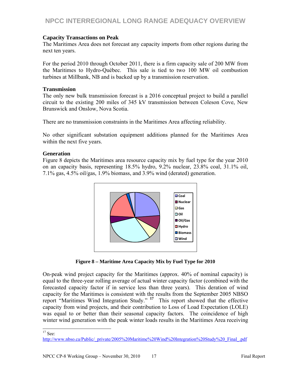#### **Capacity Transactions on Peak**

The Maritimes Area does not forecast any capacity imports from other regions during the next ten years.

For the period 2010 through October 2011, there is a firm capacity sale of 200 MW from the Maritimes to Hydro-Québec. This sale is tied to two 100 MW oil combustion turbines at Millbank, NB and is backed up by a transmission reservation.

#### **Transmission**

The only new bulk transmission forecast is a 2016 conceptual project to build a parallel circuit to the existing 200 miles of 345 kV transmission between Coleson Cove, New Brunswick and Onslow, Nova Scotia.

There are no transmission constraints in the Maritimes Area affecting reliability.

No other significant substation equipment additions planned for the Maritimes Area within the next five years.

#### **Generation**

Figure 8 depicts the Maritimes area resource capacity mix by fuel type for the year 2010 on an capacity basis, representing 18.5% hydro, 9.2% nuclear, 23.8% coal, 31.1% oil, 7.1% gas, 4.5% oil/gas, 1.9% biomass, and 3.9% wind (derated) generation.



**Figure 8 – Maritime Area Capacity Mix by Fuel Type for 2010** 

On-peak wind project capacity for the Maritimes (approx. 40% of nominal capacity) is equal to the three-year rolling average of actual winter capacity factor (combined with the forecasted capacity factor if in service less than three years). This deration of wind capacity for the Maritimes is consistent with the results from the September 2005 NBSO report "Maritimes Wind Integration Study." **<sup>17</sup>** This report showed that the effective capacity from wind projects, and their contribution to Loss of Load Expectation (LOLE) was equal to or better than their seasonal capacity factors. The coincidence of high winter wind generation with the peak winter loads results in the Maritimes Area receiving

 $\overline{a}$  $17$  See:

http://www.nbso.ca/Public/\_private/2005%20Maritime%20Wind%20Integration%20Study%20\_Final\_.pdf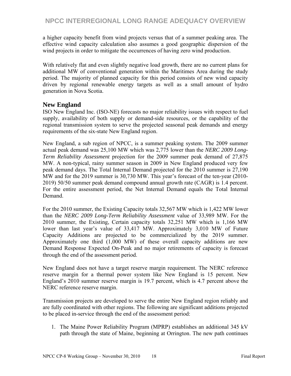a higher capacity benefit from wind projects versus that of a summer peaking area. The effective wind capacity calculation also assumes a good geographic dispersion of the wind projects in order to mitigate the occurrences of having zero wind production.

With relatively flat and even slightly negative load growth, there are no current plans for additional MW of conventional generation within the Maritimes Area during the study period. The majority of planned capacity for this period consists of new wind capacity driven by regional renewable energy targets as well as a small amount of hydro generation in Nova Scotia.

### **New England**

ISO New England Inc. (ISO-NE) forecasts no major reliability issues with respect to fuel supply, availability of both supply or demand-side resources, or the capability of the regional transmission system to serve the projected seasonal peak demands and energy requirements of the six-state New England region.

New England, a sub region of NPCC, is a summer peaking system. The 2009 summer actual peak demand was 25,100 MW which was 2,775 lower than the *NERC 2009 Long-Term Reliability Assessment* projection for the 2009 summer peak demand of 27,875 MW. A non-typical, rainy summer season in 2009 in New England produced very few peak demand days. The Total Internal Demand projected for the 2010 summer is 27,190 MW and for the 2019 summer is 30,730 MW. This year's forecast of the ten-year (2010- 2019) 50/50 summer peak demand compound annual growth rate (CAGR) is 1.4 percent. For the entire assessment period, the Net Internal Demand equals the Total Internal Demand.

For the 2010 summer, the Existing Capacity totals 32,567 MW which is 1,422 MW lower than the *NERC 2009 Long-Term Reliability Assessment* value of 33,989 MW. For the 2010 summer, the Existing, Certain capacity totals 32,251 MW which is 1,166 MW lower than last year's value of 33,417 MW. Approximately 3,010 MW of Future Capacity Additions are projected to be commercialized by the 2019 summer. Approximately one third (1,000 MW) of these overall capacity additions are new Demand Response Expected On-Peak and no major retirements of capacity is forecast through the end of the assessment period.

New England does not have a target reserve margin requirement. The NERC reference reserve margin for a thermal power system like New England is 15 percent. New England's 2010 summer reserve margin is 19.7 percent, which is 4.7 percent above the NERC reference reserve margin.

Transmission projects are developed to serve the entire New England region reliably and are fully coordinated with other regions. The following are significant additions projected to be placed in-service through the end of the assessment period:

1. The Maine Power Reliability Program (MPRP) establishes an additional 345 kV path through the state of Maine, beginning at Orrington. The new path continues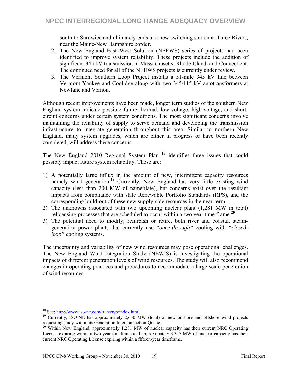south to Surowiec and ultimately ends at a new switching station at Three Rivers, near the Maine-New Hampshire border.

- 2. The New England East–West Solution (NEEWS) series of projects had been identified to improve system reliability. These projects include the addition of significant 345 kV transmission in Massachusetts, Rhode Island, and Connecticut. The continued need for all of the NEEWS projects is currently under review.
- 3. The Vermont Southern Loop Project installs a 51-mile 345 kV line between Vermont Yankee and Coolidge along with two 345/115 kV autotransformers at Newfane and Vernon.

Although recent improvements have been made, longer term studies of the southern New England system indicate possible future thermal, low-voltage, high-voltage, and shortcircuit concerns under certain system conditions. The most significant concerns involve maintaining the reliability of supply to serve demand and developing the transmission infrastructure to integrate generation throughout this area. Similar to northern New England, many system upgrades, which are either in progress or have been recently completed, will address these concerns.

The New England 2010 Regional System Plan **<sup>18</sup>** identifies three issues that could possibly impact future system reliability. These are:

- 1) A potentially large influx in the amount of new, intermittent capacity resources namely wind generation.<sup>19</sup> Currently, New England has very little existing wind capacity (less than 200 MW of nameplate), but concerns exist over the resultant impacts from compliance with state Renewable Portfolio Standards (RPS), and the corresponding build-out of these new supply-side resources in the near-term.
- 2) The unknowns associated with two upcoming nuclear plant (1,281 MW in total) relicensing processes that are scheduled to occur within a two year time frame.**<sup>20</sup>**
- 3) The potential need to modify, refurbish or retire, both river and coastal, steamgeneration power plants that currently use *"once-through"* cooling with *"closedloop"* cooling systems.

The uncertainty and variability of new wind resources may pose operational challenges. The New England Wind Integration Study (NEWIS) is investigating the operational impacts of different penetration levels of wind resources. The study will also recommend changes in operating practices and procedures to accommodate a large-scale penetration of wind resources.

<sup>&</sup>lt;sup>18</sup> See: http://www.iso-ne.com/trans/rsp/index.html

<sup>&</sup>lt;sup>19</sup> Currently, ISO-NE has approximately 2,650 MW (total) of new onshore and offshore wind projects requesting study within its Generation Interconnection Queue.<br><sup>20</sup> Within New England, approximately 1,281 MW of nuclear capacity has their current NRC Operating

License expiring within a two-year timeframe and approximately 3,347 MW of nuclear capacity has their current NRC Operating License expiring within a fifteen-year timeframe.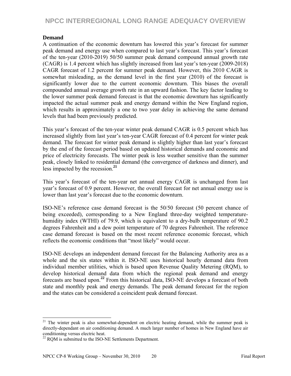#### **Demand**

A continuation of the economic downturn has lowered this year's forecast for summer peak demand and energy use when compared to last year's forecast. This year's forecast of the ten-year (2010-2019) 50/50 summer peak demand compound annual growth rate (CAGR) is 1.4 percent which has slightly increased from last year's ten-year (2009-2018) CAGR forecast of 1.2 percent for summer peak demand. However, this 2010 CAGR is somewhat misleading, as the demand level in the first year (2010) of the forecast is significantly lower due to the current economic downturn. This biases the overall compounded annual average growth rate in an upward fashion. The key factor leading to the lower summer peak demand forecast is that the economic downturn has significantly impacted the actual summer peak and energy demand within the New England region, which results in approximately a one to two year delay in achieving the same demand levels that had been previously predicted.

This year's forecast of the ten-year winter peak demand CAGR is 0.5 percent which has increased slightly from last year's ten-year CAGR forecast of 0.4 percent for winter peak demand. The forecast for winter peak demand is slightly higher than last year's forecast by the end of the forecast period based on updated historical demands and economic and price of electricity forecasts. The winter peak is less weather sensitive than the summer peak, closely linked to residential demand (the convergence of darkness and dinner), and less impacted by the recession.**<sup>21</sup>**

This year's forecast of the ten-year net annual energy CAGR is unchanged from last year's forecast of 0.9 percent. However, the overall forecast for net annual energy use is lower than last year's forecast due to the economic downturn.

ISO-NE's reference case demand forecast is the 50/50 forecast (50 percent chance of being exceeded), corresponding to a New England three-day weighted temperaturehumidity index (WTHI) of 79.9, which is equivalent to a dry-bulb temperature of 90.2 degrees Fahrenheit and a dew point temperature of 70 degrees Fahrenheit. The reference case demand forecast is based on the most recent reference economic forecast, which reflects the economic conditions that "most likely" would occur.

ISO-NE develops an independent demand forecast for the Balancing Authority area as a whole and the six states within it. ISO-NE uses historical hourly demand data from individual member utilities, which is based upon Revenue Quality Metering (RQM), to develop historical demand data from which the regional peak demand and energy forecasts are based upon.**<sup>22</sup>** From this historical data, ISO-NE develops a forecast of both state and monthly peak and energy demands. The peak demand forecast for the region and the states can be considered a coincident peak demand forecast.

 $\overline{a}$ 

 $21$  The winter peak is also somewhat-dependent on electric heating demand, while the summer peak is directly-dependant on air conditioning demand. A much larger number of homes in New England have air conditioning versus electric heat.

 $22$  RQM is submitted to the ISO-NE Settlements Department.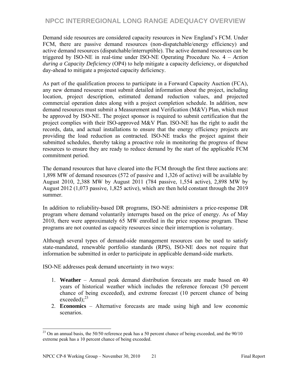Demand side resources are considered capacity resources in New England's FCM. Under FCM, there are passive demand resources (non-dispatchable/energy efficiency) and active demand resources (dispatchable/interruptible). The active demand resources can be triggered by ISO-NE in real-time under ISO-NE Operating Procedure No. 4 – *Action during a Capacity Deficiency* (OP4) to help mitigate a capacity deficiency, or dispatched day-ahead to mitigate a projected capacity deficiency.

As part of the qualification process to participate in a Forward Capacity Auction (FCA), any new demand resource must submit detailed information about the project, including location, project description, estimated demand reduction values, and projected commercial operation dates along with a project completion schedule. In addition, new demand resources must submit a Measurement and Verification (M&V) Plan, which must be approved by ISO-NE. The project sponsor is required to submit certification that the project complies with their ISO-approved M&V Plan. ISO-NE has the right to audit the records, data, and actual installations to ensure that the energy efficiency projects are providing the load reduction as contracted. ISO-NE tracks the project against their submitted schedules, thereby taking a proactive role in monitoring the progress of these resources to ensure they are ready to reduce demand by the start of the applicable FCM commitment period.

The demand resources that have cleared into the FCM through the first three auctions are: 1,898 MW of demand resources (572 of passive and 1,326 of active) will be available by August 2010, 2,388 MW by August 2011 (784 passive, 1,554 active), 2,898 MW by August 2012 (1,073 passive, 1,825 active), which are then held constant through the 2019 summer.

In addition to reliability-based DR programs, ISO-NE administers a price-response DR program where demand voluntarily interrupts based on the price of energy. As of May 2010, there were approximately 65 MW enrolled in the price response program. These programs are not counted as capacity resources since their interruption is voluntary.

Although several types of demand-side management resources can be used to satisfy state-mandated, renewable portfolio standards (RPS), ISO-NE does not require that information be submitted in order to participate in applicable demand-side markets.

ISO-NE addresses peak demand uncertainty in two ways:

- 1. **Weather** Annual peak demand distribution forecasts are made based on 40 years of historical weather which includes the reference forecast (50 percent chance of being exceeded), and extreme forecast (10 percent chance of being exceeded); $^{23}$
- 2. **Economics** Alternative forecasts are made using high and low economic scenarios.

 $\overline{a}$ 

 $^{23}$  On an annual basis, the 50/50 reference peak has a 50 percent chance of being exceeded, and the 90/10 extreme peak has a 10 percent chance of being exceeded.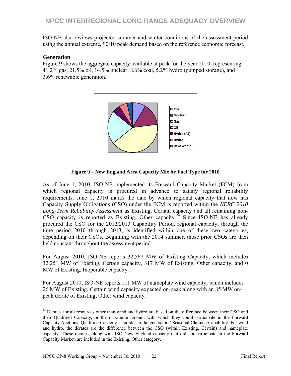ISO-NE also reviews projected summer and winter conditions of the assessment period using the annual extreme, 90/10 peak demand based on the reference economic forecast.

#### **Generation**

l

Figure 9 shows the aggregate capacity available at peak for the year 2010, representing 41.2% gas, 21.5% oil, 14.5% nuclear, 8.6% coal, 5.2% hydro (pumped storage), and 3.6% renewable generation.



**Figure 9 – New England Area Capacity Mix by Fuel Type for 2010** 

As of June 1, 2010, ISO-NE implemented its Forward Capacity Market (FCM) from which regional capacity is procured in advance to satisfy regional reliability requirements. June 1, 2010 marks the date by which regional capacity that now has Capacity Supply Obligations (CSO) under the FCM is reported within the *NERC 2010 Long-Term Reliability Assessment* as Existing, Certain capacity and all remaining non-CSO capacity is reported as Existing, Other capacity.**<sup>24</sup>** Since ISO-NE has already procured the CSO for the 2012/2013 Capability Period, regional capacity, through the time period 2010 through 2013, is identified within one of these two categories, depending on their CSOs. Beginning with the 2014 summer, those prior CSOs are then held constant throughout the assessment period.

For August 2010, ISO-NE reports 32,567 MW of Existing Capacity, which includes 32,251 MW of Existing, Certain capacity, 317 MW of Existing, Other capacity, and 0 MW of Existing, Inoperable capacity.

For August 2010, ISO-NE reports 111 MW of nameplate wind capacity, which includes 26 MW of Existing, Certain wind capacity expected on-peak along with an 85 MW onpeak derate of Existing, Other wind capacity.

<sup>&</sup>lt;sup>24</sup> Derates for all resources other than wind and hydro are based on the difference between their CSO and their Qualified Capacity, or the maximum amount with which they could participate in the Forward Capacity Auctions. Qualified Capacity is similar to the generators' Seasonal Claimed Capability. For wind and hydro, the derates are the difference between the CSO (within Existing, Certain) and nameplate capacity. These derates, along with ISO New England capacity that did not participate in the Forward Capacity Market, are included in the Existing, Other category.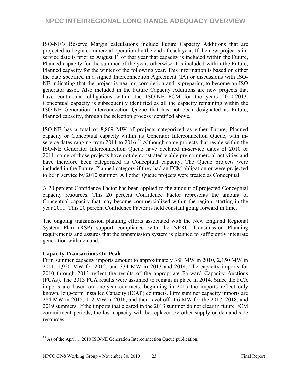ISO-NE's Reserve Margin calculations include Future Capacity Additions that are projected to begin commercial operation by the end of each year. If the new project's inservice date is prior to August  $1<sup>st</sup>$  of that year that capacity is included within the Future, Planned capacity for the summer of the year, otherwise it is included within the Future, Planned capacity for the winter of the following year. This information is based on either the date specified in a signed Interconnection Agreement (IA) or discussions with ISO-NE indicating that the project is nearing completion and is preparing to become an ISO generator asset. Also included in the Future Capacity Additions are new projects that have contractual obligations within the ISO-NE FCM for the years 2010-2013. Conceptual capacity is subsequently identified as all the capacity remaining within the ISO-NE Generation Interconnection Queue that has not been designated as Future, Planned capacity, through the selection process identified above.

ISO-NE has a total of 8,809 MW of projects categorized as either Future, Planned capacity or Conceptual capacity within its Generator Interconnection Queue, with inservice dates ranging from 2011 to 2016.**<sup>25</sup>** Although some projects that reside within the ISO-NE Generator Interconnection Queue have declared in-service dates of 2010 or 2011, some of those projects have not demonstrated viable pre-commercial activities and have therefore been categorized as Conceptual capacity. The Queue projects were included in the Future, Planned category if they had an FCM obligation or were projected to be in service by 2010 summer. All other Queue projects were treated as Conceptual.

A 20 percent Confidence Factor has been applied to the amount of projected Conceptual capacity resources. This 20 percent Confidence Factor represents the amount of Conceptual capacity that may become commercialized within the region, starting in the year 2011. This 20 percent Confidence Factor is held constant going forward in time.

The ongoing transmission planning efforts associated with the New England Regional System Plan (RSP) support compliance with the NERC Transmission Planning requirements and assures that the transmission system is planned to sufficiently integrate generation with demand.

#### **Capacity Transactions On-Peak**

Firm summer capacity imports amount to approximately 388 MW in 2010, 2,150 MW in 2011, 1,920 MW for 2012, and 334 MW in 2013 and 2014. The capacity imports for 2010 through 2013 reflect the results of the appropriate Forward Capacity Auctions (FCAs). The 2013 FCA results were assumed to remain in place in 2014. Since the FCA imports are based on one-year contracts, beginning in 2015 the imports reflect only known, long-term Installed Capacity (ICAP) contracts. Firm summer capacity imports are 284 MW in 2015, 112 MW in 2016, and then level off at 6 MW for the 2017, 2018, and 2019 summers. If the imports that cleared in the 2013 summer do not clear in future FCM commitment periods, the lost capacity will be replaced by other supply or demand-side resources.

 $\overline{a}$  $^{25}$  As of the April 1, 2010 ISO-NE Generation Interconnection Queue publication.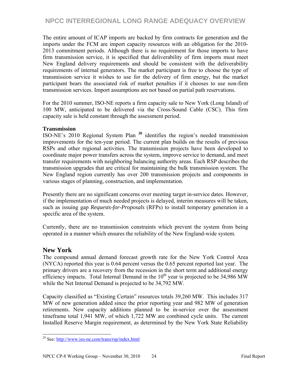The entire amount of ICAP imports are backed by firm contracts for generation and the imports under the FCM are import capacity resources with an obligation for the 2010- 2013 commitment periods. Although there is no requirement for those imports to have firm transmission service, it is specified that deliverability of firm imports must meet New England delivery requirements and should be consistent with the deliverability requirements of internal generators. The market participant is free to choose the type of transmission service it wishes to use for the delivery of firm energy, but the market participant bears the associated risk of market penalties if it chooses to use non-firm transmission services. Import assumptions are not based on partial path reservations.

For the 2010 summer, ISO-NE reports a firm capacity sale to New York (Long Island) of 100 MW, anticipated to be delivered via the Cross-Sound Cable (CSC). This firm capacity sale is held constant through the assessment period.

#### **Transmission**

ISO-NE's 2010 Regional System Plan **<sup>26</sup>** identifies the region's needed transmission improvements for the ten-year period. The current plan builds on the results of previous RSPs and other regional activities. The transmission projects have been developed to coordinate major power transfers across the system, improve service to demand, and meet transfer requirements with neighboring balancing authority areas. Each RSP describes the transmission upgrades that are critical for maintaining the bulk transmission system. The New England region currently has over 200 transmission projects and components in various stages of planning, construction, and implementation.

Presently there are no significant concerns over meeting target in-service dates. However, if the implementation of much needed projects is delayed, interim measures will be taken, such as issuing gap *Requests-for-Proposals* (RFPs) to install temporary generation in a specific area of the system.

Currently, there are no transmission constraints which prevent the system from being operated in a manner which ensures the reliability of the New England-wide system.

#### **New York**

 $\overline{a}$ 

The compound annual demand forecast growth rate for the New York Control Area (NYCA) reported this year is 0.64 percent versus the 0.65 percent reported last year. The primary drivers are a recovery from the recession in the short term and additional energy efficiency impacts. Total Internal Demand in the  $10<sup>th</sup>$  year is projected to be 34,986 MW while the Net Internal Demand is projected to be 34,792 MW.

Capacity classified as "Existing Certain" resources totals 39,260 MW. This includes 317 MW of new generation added since the prior reporting year and 982 MW of generation retirements. New capacity additions planned to be in-service over the assessment timeframe total 1,941 MW, of which 1,722 MW are combined cycle units. The current Installed Reserve Margin requirement, as determined by the New York State Reliability

<sup>26</sup> See: http://www.iso-ne.com/trans/rsp/index.html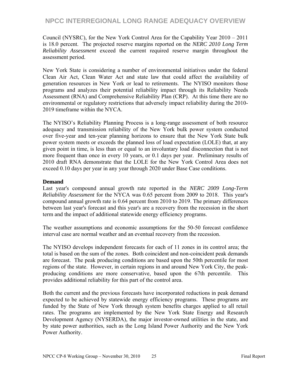Council (NYSRC), for the New York Control Area for the Capability Year 2010 – 2011 is 18.0 percent. The projected reserve margins reported on the *NERC 2010 Long Term Reliability Assessment* exceed the current required reserve margin throughout the assessment period.

New York State is considering a number of environmental initiatives under the federal Clean Air Act, Clean Water Act and state law that could affect the availability of generation resources in New York or lead to retirements. The NYISO monitors those programs and analyzes their potential reliability impact through its Reliability Needs Assessment (RNA) and Comprehensive Reliability Plan (CRP). At this time there are no environmental or regulatory restrictions that adversely impact reliability during the 2010- 2019 timeframe within the NYCA.

The NYISO's Reliability Planning Process is a long-range assessment of both resource adequacy and transmission reliability of the New York bulk power system conducted over five-year and ten-year planning horizons to ensure that the New York State bulk power system meets or exceeds the planned loss of load expectation (LOLE) that, at any given point in time, is less than or equal to an involuntary load disconnection that is not more frequent than once in every 10 years, or 0.1 days per year. Preliminary results of 2010 draft RNA demonstrate that the LOLE for the New York Control Area does not exceed 0.10 days per year in any year through 2020 under Base Case conditions.

#### **Demand**

Last year's compound annual growth rate reported in the *NERC 2009 Long-Term Reliability Assessment* for the NYCA was 0.65 percent from 2009 to 2018. This year's compound annual growth rate is 0.64 percent from 2010 to 2019. The primary differences between last year's forecast and this year's are a recovery from the recession in the short term and the impact of additional statewide energy efficiency programs.

The weather assumptions and economic assumptions for the 50-50 forecast confidence interval case are normal weather and an eventual recovery from the recession.

The NYISO develops independent forecasts for each of 11 zones in its control area; the total is based on the sum of the zones. Both coincident and non-coincident peak demands are forecast. The peak producing conditions are based upon the 50th percentile for most regions of the state. However, in certain regions in and around New York City, the peakproducing conditions are more conservative, based upon the 67th percentile. This provides additional reliability for this part of the control area.

Both the current and the previous forecasts have incorporated reductions in peak demand expected to be achieved by statewide energy efficiency programs. These programs are funded by the State of New York through system benefits charges applied to all retail rates. The programs are implemented by the New York State Energy and Research Development Agency (NYSERDA), the major investor-owned utilities in the state, and by state power authorities, such as the Long Island Power Authority and the New York Power Authority.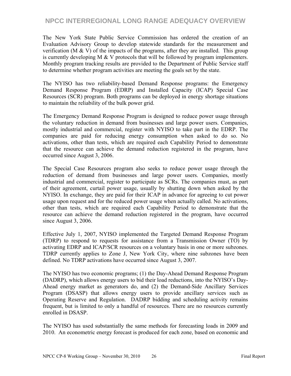The New York State Public Service Commission has ordered the creation of an Evaluation Advisory Group to develop statewide standards for the measurement and verification (M  $\&$  V) of the impacts of the programs, after they are installed. This group is currently developing M  $\&$  V protocols that will be followed by program implementers. Monthly program tracking results are provided to the Department of Public Service staff to determine whether program activities are meeting the goals set by the state.

The NYISO has two reliability-based Demand Response programs: the Emergency Demand Response Program (EDRP) and Installed Capacity (ICAP) Special Case Resources (SCR) program. Both programs can be deployed in energy shortage situations to maintain the reliability of the bulk power grid.

The Emergency Demand Response Program is designed to reduce power usage through the voluntary reduction in demand from businesses and large power users. Companies, mostly industrial and commercial, register with NYISO to take part in the EDRP. The companies are paid for reducing energy consumption when asked to do so. No activations, other than tests, which are required each Capability Period to demonstrate that the resource can achieve the demand reduction registered in the program, have occurred since August 3, 2006.

The Special Case Resources program also seeks to reduce power usage through the reduction of demand from businesses and large power users. Companies, mostly industrial and commercial, register to participate as SCRs. The companies must, as part of their agreement, curtail power usage, usually by shutting down when asked by the NYISO. In exchange, they are paid for their ICAP in advance for agreeing to cut power usage upon request and for the reduced power usage when actually called. No activations, other than tests, which are required each Capability Period to demonstrate that the resource can achieve the demand reduction registered in the program, have occurred since August 3, 2006.

Effective July 1, 2007, NYISO implemented the Targeted Demand Response Program (TDRP) to respond to requests for assistance from a Transmission Owner (TO) by activating EDRP and ICAP/SCR resources on a voluntary basis in one or more subzones. TDRP currently applies to Zone J, New York City, where nine subzones have been defined. No TDRP activations have occurred since August 3, 2007.

The NYISO has two economic programs; (1) the Day-Ahead Demand Response Program (DADRP), which allows energy users to bid their load reductions, into the NYISO's Day-Ahead energy market as generators do, and (2) the Demand-Side Ancillary Services Program (DSASP) that allows energy users to provide ancillary services such as Operating Reserve and Regulation. DADRP bidding and scheduling activity remains frequent, but is limited to only a handful of resources. There are no resources currently enrolled in DSASP.

The NYISO has used substantially the same methods for forecasting loads in 2009 and 2010. An econometric energy forecast is produced for each zone, based on economic and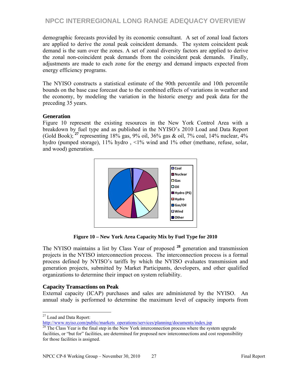demographic forecasts provided by its economic consultant. A set of zonal load factors are applied to derive the zonal peak coincident demands. The system coincident peak demand is the sum over the zones. A set of zonal diversity factors are applied to derive the zonal non-coincident peak demands from the coincident peak demands. Finally, adjustments are made to each zone for the energy and demand impacts expected from energy efficiency programs.

The NYISO constructs a statistical estimate of the 90th percentile and 10th percentile bounds on the base case forecast due to the combined effects of variations in weather and the economy, by modeling the variation in the historic energy and peak data for the preceding 35 years.

#### **Generation**

Figure 10 represent the existing resources in the New York Control Area with a breakdown by fuel type and as published in the NYISO's 2010 Load and Data Report (Gold Book); **<sup>27</sup>** representing 18% gas, 9% oil, 36% gas & oil, 7% coal, 14% nuclear, 4% hydro (pumped storage), 11% hydro, <1% wind and 1% other (methane, refuse, solar, and wood) generation.



**Figure 10 – New York Area Capacity Mix by Fuel Type for 2010** 

The NYISO maintains a list by Class Year of proposed **<sup>28</sup>** generation and transmission projects in the NYISO interconnection process. The interconnection process is a formal process defined by NYISO's tariffs by which the NYISO evaluates transmission and generation projects, submitted by Market Participants, developers, and other qualified organizations to determine their impact on system reliability.

#### **Capacity Transactions on Peak**

External capacity (ICAP) purchases and sales are administered by the NYISO. An annual study is performed to determine the maximum level of capacity imports from

 $\overline{a}$  $27$  Load and Data Report:

http://www.nyiso.com/public/markets\_operations/services/planning/documents/index.jsp<br><sup>28</sup> The Class Year is the final step in the New York interconnection process where the system upgrade

facilities, or "but for" facilities, are determined for proposed new interconnections and cost responsibility for those facilities is assigned.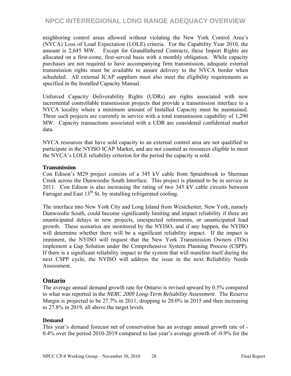neighboring control areas allowed without violating the New York Control Area's (NYCA) Loss of Load Expectation (LOLE) criteria. For the Capability Year 2010, the amount is 2,645 MW. Except for Grandfathered Contracts, these Import Rights are allocated on a first-come, first-served basis with a monthly obligation. While capacity purchases are not required to have accompanying firm transmission, adequate external transmission rights must be available to assure delivery to the NYCA border when scheduled. All external ICAP suppliers must also meet the eligibility requirements as specified in the Installed Capacity Manual.

Unforced Capacity Deliverability Rights (UDRs) are rights associated with new incremental controllable transmission projects that provide a transmission interface to a NYCA locality where a minimum amount of Installed Capacity must be maintained. Three such projects are currently in service with a total transmission capability of 1,290 MW. Capacity transactions associated with a UDR are considered confidential market data.

NYCA resources that have sold capacity to an external control area are not qualified to participate in the NYISO ICAP Market, and are not counted as resources eligible to meet the NYCA's LOLE reliability criterion for the period the capacity is sold.

#### **Transmission**

Con Edison's M29 project consists of a 345 kV cable from Sprainbrook to Sherman Creek across the Dunwoodie South Interface. This project is planned to be in service in 2011. Con Edison is also increasing the rating of two 345 kV cable circuits between Farragut and East  $13<sup>th</sup>$  St. by installing refrigerated cooling.

The interface into New York City and Long Island from Westchester, New York, namely Dunwoodie South, could become significantly limiting and impact reliability if there are unanticipated delays in new projects, unexpected retirements, or unanticipated load growth. These scenarios are monitored by the NYISO, and if any happen, the NYISO will determine whether there will be a significant reliability impact. If the impact is imminent, the NYISO will request that the New York Transmission Owners (TOs) implement a Gap Solution under the Comprehensive System Planning Process (CSPP). If there is a significant reliability impact to the system that will manifest itself during the next CSPP cycle, the NYISO will address the issue in the next Reliability Needs Assessment.

#### **Ontario**

The average annual demand growth rate for Ontario is revised upward by 0.5% compared to what was reported in the *NERC 2009 Long-Term Reliability Assessment*. The Reserve Margin is projected to be 27.7% in 2011, dropping to 20.0% in 2015 and then increasing to 27.8% in 2019, all above the target levels.

#### **Demand**

This year's demand forecast net of conservation has an average annual growth rate of - 0.4% over the period 2010-2019 compared to last year's average growth of -0.9% for the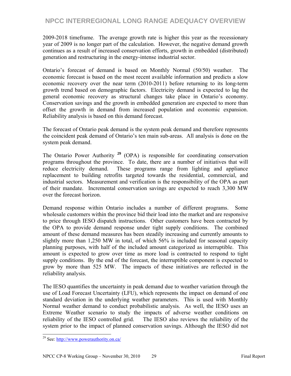2009-2018 timeframe. The average growth rate is higher this year as the recessionary year of 2009 is no longer part of the calculation. However, the negative demand growth continues as a result of increased conservation efforts, growth in embedded (distributed) generation and restructuring in the energy-intense industrial sector.

Ontario's forecast of demand is based on Monthly Normal (50/50) weather. The economic forecast is based on the most recent available information and predicts a slow economic recovery over the near term (2010-2011) before returning to its long-term growth trend based on demographic factors. Electricity demand is expected to lag the general economic recovery as structural changes take place in Ontario's economy. Conservation savings and the growth in embedded generation are expected to more than offset the growth in demand from increased population and economic expansion. Reliability analysis is based on this demand forecast.

The forecast of Ontario peak demand is the system peak demand and therefore represents the coincident peak demand of Ontario's ten main sub-areas. All analysis is done on the system peak demand.

The Ontario Power Authority **<sup>29</sup>** (OPA) is responsible for coordinating conservation programs throughout the province. To date, there are a number of initiatives that will reduce electricity demand. These programs range from lighting and appliance replacement to building retrofits targeted towards the residential, commercial, and industrial sectors. Measurement and verification is the responsibility of the OPA as part of their mandate. Incremental conservation savings are expected to reach 3,300 MW over the forecast horizon.

Demand response within Ontario includes a number of different programs. Some wholesale customers within the province bid their load into the market and are responsive to price through IESO dispatch instructions. Other customers have been contracted by the OPA to provide demand response under tight supply conditions. The combined amount of these demand measures has been steadily increasing and currently amounts to slightly more than 1,250 MW in total, of which 56% is included for seasonal capacity planning purposes, with half of the included amount categorized as interruptible. This amount is expected to grow over time as more load is contracted to respond to tight supply conditions. By the end of the forecast, the interruptible component is expected to grow by more than 525 MW. The impacts of these initiatives are reflected in the reliability analysis.

The IESO quantifies the uncertainty in peak demand due to weather variation through the use of Load Forecast Uncertainty (LFU), which represents the impact on demand of one standard deviation in the underlying weather parameters. This is used with Monthly Normal weather demand to conduct probabilistic analysis. As well, the IESO uses an Extreme Weather scenario to study the impacts of adverse weather conditions on reliability of the IESO controlled grid. The IESO also reviews the reliability of the system prior to the impact of planned conservation savings. Although the IESO did not

 $\overline{a}$ 

<sup>&</sup>lt;sup>29</sup> See: http://www.powerauthority.on.ca/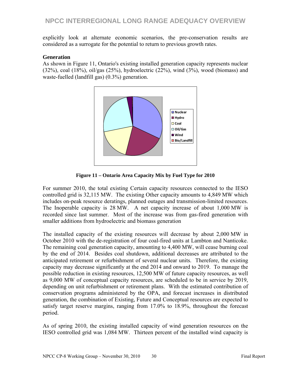explicitly look at alternate economic scenarios, the pre-conservation results are considered as a surrogate for the potential to return to previous growth rates.

#### **Generation**

As shown in Figure 11, Ontario's existing installed generation capacity represents nuclear (32%), coal (18%), oil/gas (25%), hydroelectric (22%), wind (3%), wood (biomass) and waste-fuelled (landfill gas) (0.3%) generation.



**Figure 11 – Ontario Area Capacity Mix by Fuel Type for 2010** 

For summer 2010, the total existing Certain capacity resources connected to the IESO controlled grid is 32,115 MW. The existing Other capacity amounts to 4,849 MW which includes on-peak resource deratings, planned outages and transmission-limited resources. The Inoperable capacity is 28 MW. A net capacity increase of about 1,000 MW is recorded since last summer. Most of the increase was from gas-fired generation with smaller additions from hydroelectric and biomass generation

The installed capacity of the existing resources will decrease by about 2,000 MW in October 2010 with the de-registration of four coal-fired units at Lambton and Nanticoke. The remaining coal generation capacity, amounting to 4,400 MW, will cease burning coal by the end of 2014. Besides coal shutdown, additional decreases are attributed to the anticipated retirement or refurbishment of several nuclear units. Therefore, the existing capacity may decrease significantly at the end 2014 and onward to 2019. To manage the possible reduction in existing resources, 12,500 MW of future capacity resources, as well as 9,000 MW of conceptual capacity resources, are scheduled to be in service by 2019, depending on unit refurbishment or retirement plans. With the estimated contribution of conservation programs administered by the OPA, and forecast increases in distributed generation, the combination of Existing, Future and Conceptual resources are expected to satisfy target reserve margins, ranging from 17.0% to 18.9%, throughout the forecast period.

As of spring 2010, the existing installed capacity of wind generation resources on the IESO controlled grid was 1,084 MW. Thirteen percent of the installed wind capacity is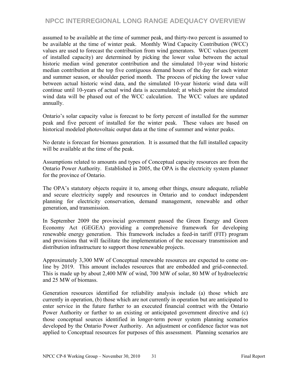assumed to be available at the time of summer peak, and thirty-two percent is assumed to be available at the time of winter peak. Monthly Wind Capacity Contribution (WCC) values are used to forecast the contribution from wind generators. WCC values (percent of installed capacity) are determined by picking the lower value between the actual historic median wind generator contribution and the simulated 10-year wind historic median contribution at the top five contiguous demand hours of the day for each winter and summer season, or shoulder period month. The process of picking the lower value between actual historic wind data, and the simulated 10-year historic wind data will continue until 10-years of actual wind data is accumulated; at which point the simulated wind data will be phased out of the WCC calculation. The WCC values are updated annually.

Ontario's solar capacity value is forecast to be forty percent of installed for the summer peak and five percent of installed for the winter peak. These values are based on historical modeled photovoltaic output data at the time of summer and winter peaks.

No derate is forecast for biomass generation. It is assumed that the full installed capacity will be available at the time of the peak.

Assumptions related to amounts and types of Conceptual capacity resources are from the Ontario Power Authority. Established in 2005, the OPA is the electricity system planner for the province of Ontario.

The OPA's statutory objects require it to, among other things, ensure adequate, reliable and secure electricity supply and resources in Ontario and to conduct independent planning for electricity conservation, demand management, renewable and other generation, and transmission.

In September 2009 the provincial government passed the Green Energy and Green Economy Act (GEGEA) providing a comprehensive framework for developing renewable energy generation. This framework includes a feed-in tariff (FIT) program and provisions that will facilitate the implementation of the necessary transmission and distribution infrastructure to support those renewable projects.

Approximately 3,300 MW of Conceptual renewable resources are expected to come online by 2019. This amount includes resources that are embedded and grid-connected. This is made up by about 2,400 MW of wind, 700 MW of solar, 80 MW of hydroelectric and 25 MW of biomass.

Generation resources identified for reliability analysis include (a) those which are currently in operation, (b) those which are not currently in operation but are anticipated to enter service in the future further to an executed financial contract with the Ontario Power Authority or further to an existing or anticipated government directive and (c) those conceptual sources identified in longer-term power system planning scenarios developed by the Ontario Power Authority. An adjustment or confidence factor was not applied to Conceptual resources for purposes of this assessment. Planning scenarios are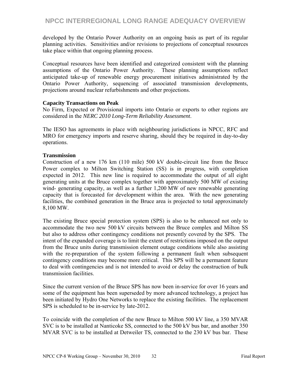developed by the Ontario Power Authority on an ongoing basis as part of its regular planning activities. Sensitivities and/or revisions to projections of conceptual resources take place within that ongoing planning process.

Conceptual resources have been identified and categorized consistent with the planning assumptions of the Ontario Power Authority. These planning assumptions reflect anticipated take-up of renewable energy procurement initiatives administrated by the Ontario Power Authority, sequencing of associated transmission developments, projections around nuclear refurbishments and other projections.

#### **Capacity Transactions on Peak**

No Firm, Expected or Provisional imports into Ontario or exports to other regions are considered in the *NERC 2010 Long-Term Reliability Assessment*.

The IESO has agreements in place with neighbouring jurisdictions in NPCC, RFC and MRO for emergency imports and reserve sharing, should they be required in day-to-day operations.

#### **Transmission**

Construction of a new 176 km (110 mile) 500 kV double-circuit line from the Bruce Power complex to Milton Switching Station (SS) is in progress, with completion expected in 2012. This new line is required to accommodate the output of all eight generating units at the Bruce complex together with approximately 500 MW of existing wind- generating capacity, as well as a further 1,200 MW of new renewable generating capacity that is forecasted for development within the area. With the new generating facilities, the combined generation in the Bruce area is projected to total approximately 8,100 MW.

The existing Bruce special protection system (SPS) is also to be enhanced not only to accommodate the two new 500 kV circuits between the Bruce complex and Milton SS but also to address other contingency conditions not presently covered by the SPS. The intent of the expanded coverage is to limit the extent of restrictions imposed on the output from the Bruce units during transmission element outage conditions while also assisting with the re-preparation of the system following a permanent fault when subsequent contingency conditions may become more critical. This SPS will be a permanent feature to deal with contingencies and is not intended to avoid or delay the construction of bulk transmission facilities.

Since the current version of the Bruce SPS has now been in-service for over 16 years and some of the equipment has been superseded by more advanced technology, a project has been initiated by Hydro One Networks to replace the existing facilities. The replacement SPS is scheduled to be in-service by late-2012.

To coincide with the completion of the new Bruce to Milton 500 kV line, a 350 MVAR SVC is to be installed at Nanticoke SS, connected to the 500 kV bus bar, and another 350 MVAR SVC is to be installed at Detweiler TS, connected to the 230 kV bus bar. These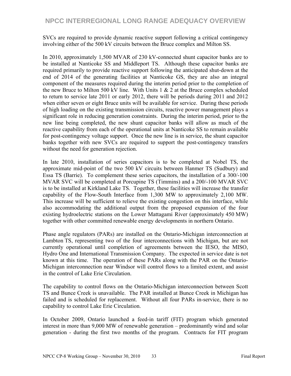SVCs are required to provide dynamic reactive support following a critical contingency involving either of the 500 kV circuits between the Bruce complex and Milton SS.

In 2010, approximately 1,500 MVAR of 230 kV-connected shunt capacitor banks are to be installed at Nanticoke SS and Middleport TS. Although these capacitor banks are required primarily to provide reactive support following the anticipated shut-down at the end of 2014 of the generating facilities at Nanticoke GS, they are also an integral component of the measures required during the interim period prior to the completion of the new Bruce to Milton 500 kV line. With Units  $1 \& 2$  at the Bruce complex scheduled to return to service late 2011 or early 2012, there will be periods during 2011 and 2012 when either seven or eight Bruce units will be available for service. During these periods of high loading on the existing transmission circuits, reactive power management plays a significant role in reducing generation constraints. During the interim period, prior to the new line being completed, the new shunt capacitor banks will allow as much of the reactive capability from each of the operational units at Nanticoke SS to remain available for post-contingency voltage support. Once the new line is in service, the shunt capacitor banks together with new SVCs are required to support the post-contingency transfers without the need for generation rejection.

In late 2010, installation of series capacitors is to be completed at Nobel TS, the approximate mid-point of the two 500 kV circuits between Hanmer TS (Sudbury) and Essa TS (Barrie). To complement these series capacitors, the installation of a 300/-100 MVAR SVC will be completed at Porcupine TS (Timmins) and a 200/-100 MVAR SVC is to be installed at Kirkland Lake TS. Together, these facilities will increase the transfer capability of the Flow-South Interface from 1,300 MW to approximately 2,100 MW. This increase will be sufficient to relieve the existing congestion on this interface, while also accommodating the additional output from the proposed expansion of the four existing hydroelectric stations on the Lower Mattagami River (approximately 450 MW) together with other committed renewable energy developments in northern Ontario.

Phase angle regulators (PARs) are installed on the Ontario-Michigan interconnection at Lambton TS, representing two of the four interconnections with Michigan, but are not currently operational until completion of agreements between the IESO, the MISO, Hydro One and International Transmission Company. The expected in service date is not known at this time. The operation of these PARs along with the PAR on the Ontario-Michigan interconnection near Windsor will control flows to a limited extent, and assist in the control of Lake Erie Circulation.

The capability to control flows on the Ontario-Michigan interconnection between Scott TS and Bunce Creek is unavailable. The PAR installed at Bunce Creek in Michigan has failed and is scheduled for replacement. Without all four PARs in-service, there is no capability to control Lake Erie Circulation.

In October 2009, Ontario launched a feed-in tariff (FIT) program which generated interest in more than 9,000 MW of renewable generation – predominantly wind and solar generation - during the first two months of the program. Contracts for FIT program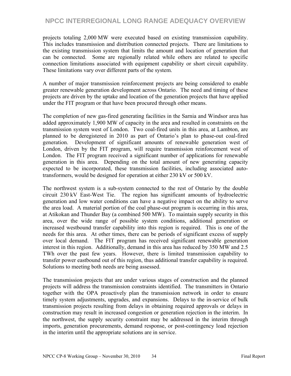projects totaling 2,000 MW were executed based on existing transmission capability. This includes transmission and distribution connected projects. There are limitations to the existing transmission system that limits the amount and location of generation that can be connected. Some are regionally related while others are related to specific connection limitations associated with equipment capability or short circuit capability. These limitations vary over different parts of the system.

A number of major transmission reinforcement projects are being considered to enable greater renewable generation development across Ontario. The need and timing of these projects are driven by the uptake and location of the generation projects that have applied under the FIT program or that have been procured through other means.

The completion of new gas-fired generating facilities in the Sarnia and Windsor area has added approximately 1,900 MW of capacity in the area and resulted in constraints on the transmission system west of London. Two coal-fired units in this area, at Lambton, are planned to be deregistered in 2010 as part of Ontario's plan to phase-out coal-fired generation. Development of significant amounts of renewable generation west of London, driven by the FIT program, will require transmission reinforcement west of London. The FIT program received a significant number of applications for renewable generation in this area. Depending on the total amount of new generating capacity expected to be incorporated, these transmission facilities, including associated autotransformers, would be designed for operation at either 230 kV or 500 kV.

The northwest system is a sub-system connected to the rest of Ontario by the double circuit 230 kV East-West Tie. The region has significant amounts of hydroelectric generation and low water conditions can have a negative impact on the ability to serve the area load. A material portion of the coal phase-out program is occurring in this area, at Atikokan and Thunder Bay (a combined 500 MW). To maintain supply security in this area, over the wide range of possible system conditions, additional generation or increased westbound transfer capability into this region is required. This is one of the needs for this area. At other times, there can be periods of significant excess of supply over local demand. The FIT program has received significant renewable generation interest in this region. Additionally, demand in this area has reduced by 350 MW and 2.5 TWh over the past few years. However, there is limited transmission capability to transfer power eastbound out of this region, thus additional transfer capability is required. Solutions to meeting both needs are being assessed.

The transmission projects that are under various stages of construction and the planned projects will address the transmission constraints identified. The transmitters in Ontario together with the OPA proactively plan the transmission network in order to ensure timely system adjustments, upgrades, and expansions. Delays to the in-service of bulk transmission projects resulting from delays in obtaining required approvals or delays in construction may result in increased congestion or generation rejection in the interim. In the northwest, the supply security constraint may be addressed in the interim through imports, generation procurements, demand response, or post-contingency load rejection in the interim until the appropriate solutions are in service.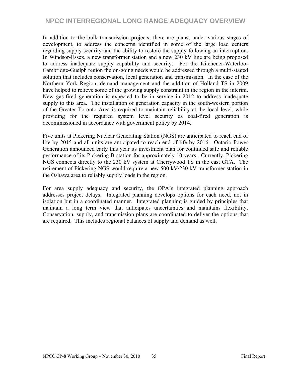In addition to the bulk transmission projects, there are plans, under various stages of development, to address the concerns identified in some of the large load centers regarding supply security and the ability to restore the supply following an interruption. In Windsor-Essex, a new transformer station and a new 230 kV line are being proposed to address inadequate supply capability and security. For the Kitchener-Waterloo-Cambridge-Guelph region the on-going needs would be addressed through a multi-staged solution that includes conservation, local generation and transmission. In the case of the Northern York Region, demand management and the addition of Holland TS in 2009 have helped to relieve some of the growing supply constraint in the region in the interim. New gas-fired generation is expected to be in service in 2012 to address inadequate supply to this area. The installation of generation capacity in the south-western portion of the Greater Toronto Area is required to maintain reliability at the local level, while providing for the required system level security as coal-fired generation is decommissioned in accordance with government policy by 2014.

Five units at Pickering Nuclear Generating Station (NGS) are anticipated to reach end of life by 2015 and all units are anticipated to reach end of life by 2016. Ontario Power Generation announced early this year its investment plan for continued safe and reliable performance of its Pickering B station for approximately 10 years. Currently, Pickering NGS connects directly to the 230 kV system at Cherrywood TS in the east GTA. The retirement of Pickering NGS would require a new 500 kV/230 kV transformer station in the Oshawa area to reliably supply loads in the region.

For area supply adequacy and security, the OPA's integrated planning approach addresses project delays. Integrated planning develops options for each need, not in isolation but in a coordinated manner. Integrated planning is guided by principles that maintain a long term view that anticipates uncertainties and maintains flexibility. Conservation, supply, and transmission plans are coordinated to deliver the options that are required. This includes regional balances of supply and demand as well.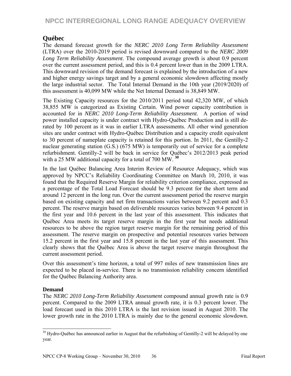## **Québec**

The demand forecast growth for the *NERC 2010 Long Term Reliability Assessment* (LTRA) over the 2010-2019 period is revised downward compared to the *NERC 2009 Long Term Reliability Assessment*. The compound average growth is about 0.9 percent over the current assessment period, and this is 0.4 percent lower than in the 2009 LTRA. This downward revision of the demand forecast is explained by the introduction of a new and higher energy savings target and by a general economic slowdown affecting mostly the large industrial sector. The Total Internal Demand in the 10th year (2019/2020) of this assessment is 40,099 MW while the Net Internal Demand is 38,849 MW.

The Existing Capacity resources for the 2010/2011 period total 42,320 MW, of which 38,855 MW is categorized as Existing Certain. Wind power capacity contribution is accounted for in *NERC 2010 Long-Term Reliability Assessment*. A portion of wind power installed capacity is under contract with Hydro-Québec Production and is still derated by 100 percent as it was in earlier LTRA assessments. All other wind generation sites are under contract with Hydro-Québec Distribution and a capacity credit equivalent to 30 percent of nameplate capacity is retained for this portion. In 2011, the Gentilly-2 nuclear generating station (G.S.) (675 MW) is temporarily out of service for a complete refurbishment. Gentilly-2 will be back in service for Québec's 2012/2013 peak period with a 25 MW additional capacity for a total of 700 MW. **<sup>30</sup>**

In the last Québec Balancing Area Interim Review of Resource Adequacy, which was approved by NPCC's Reliability Coordinating Committee on March 10, 2010, it was found that the Required Reserve Margin for reliability criterion compliance, expressed as a percentage of the Total Load Forecast should be 9.3 percent for the short term and around 12 percent in the long run. Over the current assessment period the reserve margin based on existing capacity and net firm transactions varies between 9.2 percent and 0.3 percent. The reserve margin based on deliverable resources varies between 9.4 percent in the first year and 10.6 percent in the last year of this assessment. This indicates that Québec Area meets its target reserve margin in the first year but needs additional resources to be above the region target reserve margin for the remaining period of this assessment. The reserve margin on prospective and potential resources varies between 15.2 percent in the first year and 15.8 percent in the last year of this assessment. This clearly shows that the Québec Area is above the target reserve margin throughout the current assessment period.

Over this assessment's time horizon, a total of 997 miles of new transmission lines are expected to be placed in-service. There is no transmission reliability concern identified for the Québec Balancing Authority area.

### **Demand**

 $\overline{a}$ 

The *NERC 2010 Long-Term Reliability Assessment* compound annual growth rate is 0.9 percent. Compared to the 2009 LTRA annual growth rate, it is 0.3 percent lower. The load forecast used in this 2010 LTRA is the last revision issued in August 2010. The lower growth rate in the 2010 LTRA is mainly due to the general economic slowdown.

 $30$  Hydro-Québec has announced earlier in August that the refurbishing of Gentilly-2 will be delayed by one year.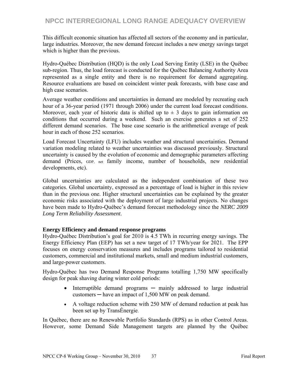This difficult economic situation has affected all sectors of the economy and in particular, large industries. Moreover, the new demand forecast includes a new energy savings target which is higher than the previous.

Hydro-Québec Distribution (HQD) is the only Load Serving Entity (LSE) in the Québec sub-region. Thus, the load forecast is conducted for the Québec Balancing Authority Area represented as a single entity and there is no requirement for demand aggregating. Resource evaluations are based on coincident winter peak forecasts, with base case and high case scenarios.

Average weather conditions and uncertainties in demand are modeled by recreating each hour of a 36-year period (1971 through 2006) under the current load forecast conditions. Moreover, each year of historic data is shifted up to  $\pm$  3 days to gain information on conditions that occurred during a weekend. Such an exercise generates a set of 252 different demand scenarios. The base case scenario is the arithmetical average of peak hour in each of those 252 scenarios.

Load Forecast Uncertainty (LFU) includes weather and structural uncertainties. Demand variation modeling related to weather uncertainties was discussed previously. Structural uncertainty is caused by the evolution of economic and demographic parameters affecting demand (Prices, GDP, net family income, number of households, new residential developments, etc).

Global uncertainties are calculated as the independent combination of these two categories. Global uncertainty, expressed as a percentage of load is higher in this review than in the previous one. Higher structural uncertainties can be explained by the greater economic risks associated with the deployment of large industrial projects. No changes have been made to Hydro-Québec's demand forecast methodology since the *NERC 2009 Long Term Reliability Assessment*.

#### **Energy Efficiency and demand response programs**

Hydro-Québec Distribution's goal for 2010 is 4.5 TWh in recurring energy savings. The Energy Efficiency Plan (EEP) has set a new target of 17 TWh/year for 2021. The EPP focuses on energy conservation measures and includes programs tailored to residential customers, commercial and institutional markets, small and medium industrial customers, and large-power customers.

Hydro-Québec has two Demand Response Programs totalling 1,750 MW specifically design for peak shaving during winter cold periods:

- Interruptible demand programs mainly addressed to large industrial  $\text{cutsomers}$   $-$  have an impact of 1,500 MW on peak demand.
- A voltage reduction scheme with 250 MW of demand reduction at peak has been set up by TransÉnergie.

In Québec, there are no Renewable Portfolio Standards (RPS) as in other Control Areas. However, some Demand Side Management targets are planned by the Québec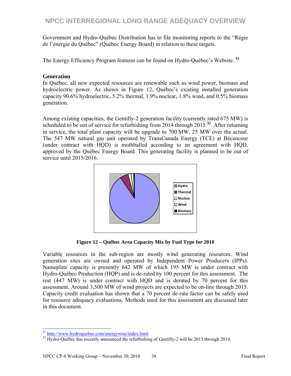Government and Hydro-Québec Distribution has to file monitoring reports to the "Régie de l'énergie du Québec" (Québec Energy Board) in relation to these targets.

The Energy Efficiency Program features can be found on Hydro-Québec's Website. **<sup>31</sup>**

#### **Generation**

In Québec, all new expected resources are renewable such as wind power, biomass and hydroelectric power. As shown in Figure 12, Québec's existing installed generation capacity 90.6% hydroelectric, 5.2% thermal, 1.9% nuclear, 1.8% wind, and 0.5% biomass generation.

Among existing capacities, the Gentilly-2 generation facility (currently rated 675 MW) is scheduled to be out of service for refurbishing from 2014 through 2015 **<sup>32</sup>**. After returning in service, the total plant capacity will be upgrade to 700 MW, 25 MW over the actual. The 547 MW natural gas unit operated by TransCanada Energy (TCE) at Bécancour (under contract with HQD) is mothballed according to an agreement with HQD, approved by the Québec Energy Board. This generating facility is planned to be out of service until 2015/2016.



**Figure 12 – Québec Area Capacity Mix by Fuel Type for 2010** 

Variable resources in the sub-region are mostly wind generating resources. Wind generation sites are owned and operated by Independent Power Producers (IPPs). Nameplate capacity is presently 642 MW of which 195 MW is under contract with Hydro-Québec Production (HQP) and is de-rated by 100 percent for this assessment. The rest (447 MW) is under contract with HQD and is derated by 70 percent for this assessment. Around 3,500 MW of wind projects are expected to be on-line through 2015. Capacity credit evaluation has shown that a 70 percent de-rate factor can be safely used for resource adequacy evaluations. Methods used for this assessment are discussed later in this document.

<sup>&</sup>lt;sup>31</sup> http://www.hydroquebec.com/energywise/index.html

<sup>&</sup>lt;sup>32</sup> Hydro-Québec has recently announced the refurbishing of Gentilly-2 will be 2013 through 2014.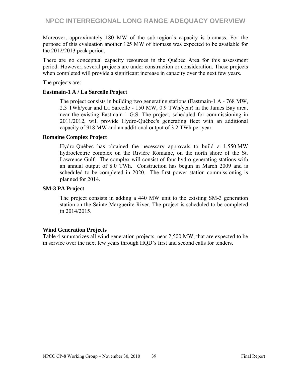Moreover, approximately 180 MW of the sub-region's capacity is biomass. For the purpose of this evaluation another 125 MW of biomass was expected to be available for the 2012/2013 peak period.

There are no conceptual capacity resources in the Québec Area for this assessment period. However, several projects are under construction or consideration. These projects when completed will provide a significant increase in capacity over the next few years.

The projects are:

#### **Eastmain-1 A / La Sarcelle Project**

The project consists in building two generating stations (Eastmain-1 A - 768 MW, 2.3 TWh/year and La Sarcelle - 150 MW, 0.9 TWh/year) in the James Bay area, near the existing Eastmain-1 G.S. The project, scheduled for commissioning in 2011/2012, will provide Hydro-Québec's generating fleet with an additional capacity of 918 MW and an additional output of 3.2 TWh per year.

#### **Romaine Complex Project**

Hydro-Québec has obtained the necessary approvals to build a 1,550 MW hydroelectric complex on the Rivière Romaine, on the north shore of the St. Lawrence Gulf. The complex will consist of four hydro generating stations with an annual output of 8.0 TWh. Construction has begun in March 2009 and is scheduled to be completed in 2020. The first power station commissioning is planned for 2014.

#### **SM-3 PA Project**

The project consists in adding a 440 MW unit to the existing SM-3 generation station on the Sainte Marguerite River. The project is scheduled to be completed in 2014/2015.

#### **Wind Generation Projects**

Table 4 summarizes all wind generation projects, near 2,500 MW, that are expected to be in service over the next few years through HQD's first and second calls for tenders.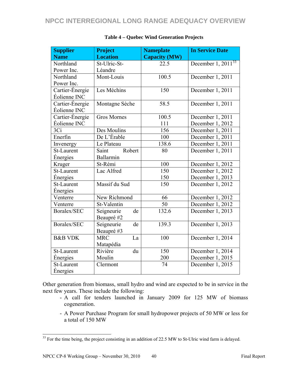| <b>Supplier</b>    | <b>Project</b>     | <b>Nameplate</b>     | <b>In Service Date</b>  |
|--------------------|--------------------|----------------------|-------------------------|
| <b>Name</b>        | <b>Location</b>    | <b>Capacity (MW)</b> |                         |
| Northland          | St-Ulric-St-       | 22.5                 | December $1, 2011^{33}$ |
| Power Inc.         | Léandre            |                      |                         |
| Northland          | Mont-Louis         | 100.5                | December 1, 2011        |
| Power Inc.         |                    |                      |                         |
| Cartier-Énergie    | Les Méchins        | 150                  | December 1, 2011        |
| Éolienne INC       |                    |                      |                         |
| Cartier-Énergie    | Montagne Sèche     | 58.5                 | December $1, 2011$      |
| Éolienne INC       |                    |                      |                         |
| Cartier-Énergie    | <b>Gros Mornes</b> | 100.5                | December 1, 2011        |
| Éolienne INC       |                    | 111                  | December 1, 2012        |
| 3Ci                | Des Moulins        | 156                  | December 1, 2011        |
| Enerfin            | De L'Érable        | 100                  | December 1, 2011        |
| Invenergy          | Le Plateau         | 138.6                | December 1, 2011        |
| St-Laurent         | Robert<br>Saint    | 80                   | December 1, 2011        |
| Energies           | Ballarmin          |                      |                         |
| Kruger             | St-Rémi            | 100                  | December 1, 2012        |
| St-Laurent         | Lac Alfred         | 150                  | December 1, 2012        |
| Energies           |                    | 150                  | December 1, 2013        |
| St-Laurent         | Massif du Sud      | 150                  | December 1, 2012        |
| <b>Énergies</b>    |                    |                      |                         |
| Venterre           | New Richmond       | 66                   | December 1, 2012        |
| Venterre           | St-Valentin        | 50                   | December 1, 2012        |
| Boralex/SEC        | Seigneurie<br>de   | 132.6                | December 1, 2013        |
|                    | Beaupré #2         |                      |                         |
| Boralex/SEC        | Seigneurie<br>de   | 139.3                | December 1, 2013        |
|                    | Beaupré #3         |                      |                         |
| <b>B&amp;B VDK</b> | <b>MRC</b><br>La   | 100                  | December 1, 2014        |
|                    | Matapédia          |                      |                         |
| St-Laurent         | Rivière<br>du      | 150                  | December 1, 2014        |
| Énergies           | Moulin             | 200                  | December 1, 2015        |
| St-Laurent         | Clermont           | 74                   | December 1, 2015        |
| Energies           |                    |                      |                         |

#### **Table 4 – Quebec Wind Generation Projects**

Other generation from biomass, small hydro and wind are expected to be in service in the next few years. These include the following:

- A call for tenders launched in January 2009 for 125 MW of biomass cogeneration.
- A Power Purchase Program for small hydropower projects of 50 MW or less for a total of 150 MW

 $\overline{a}$ 

 $33$  For the time being, the project consisting in an addition of 22.5 MW to St-Ulric wind farm is delayed.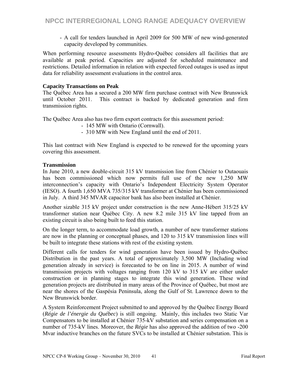- A call for tenders launched in April 2009 for 500 MW of new wind-generated capacity developed by communities.

When performing resource assessments Hydro-Québec considers all facilities that are available at peak period. Capacities are adjusted for scheduled maintenance and restrictions. Detailed information in relation with expected forced outages is used as input data for reliability assessment evaluations in the control area.

#### **Capacity Transactions on Peak**

The Québec Area has a secured a 200 MW firm purchase contract with New Brunswick until October 2011. This contract is backed by dedicated generation and firm transmission rights.

The Québec Area also has two firm export contracts for this assessment period:

- 145 MW with Ontario (Cornwall).
- 310 MW with New England until the end of 2011.

This last contract with New England is expected to be renewed for the upcoming years covering this assessment.

#### **Transmission**

In June 2010, a new double-circuit 315 kV transmission line from Chénier to Outaouais has been commissioned which now permits full use of the new 1,250 MW interconnection's capacity with Ontario's Independent Electricity System Operator (IESO). A fourth 1,650 MVA 735/315 kV transformer at Chénier has been commissioned in July. A third 345 MVAR capacitor bank has also been installed at Chénier.

Another sizable 315 kV project under construction is the new Anne-Hébert 315/25 kV transformer station near Québec City. A new 8.2 mile 315 kV line tapped from an existing circuit is also being built to feed this station.

On the longer term, to accommodate load growth, a number of new transformer stations are now in the planning or conceptual phases, and 120 to 315 kV transmission lines will be built to integrate these stations with rest of the existing system.

Different calls for tenders for wind generation have been issued by Hydro-Québec Distribution in the past years. A total of approximately 3,500 MW (Including wind generation already in service) is forecasted to be on line in 2015. A number of wind transmission projects with voltages ranging from 120 kV to 315 kV are either under construction or in planning stages to integrate this wind generation. These wind generation projects are distributed in many areas of the Province of Québec, but most are near the shores of the Gaspésia Peninsula, along the Gulf of St. Lawrence down to the New Brunswick border.

A System Reinforcement Project submitted to and approved by the Québec Energy Board (*Régie de l'énergie du Québec*) is still ongoing. Mainly, this includes two Static Var Compensators to be installed at Chénier 735-kV substation and series compensation on a number of 735-kV lines. Moreover, the *Régie* has also approved the addition of two -200 Mvar inductive branches on the future SVCs to be installed at Chénier substation. This is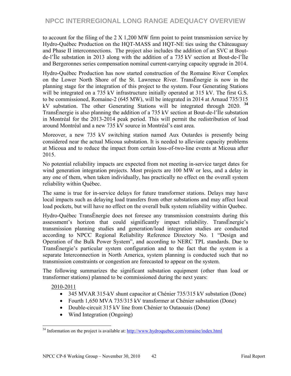to account for the filing of the 2 X 1,200 MW firm point to point transmission service by Hydro-Québec Production on the HQT-MASS and HQT-NE ties using the Châteauguay and Phase II interconnections. The project also includes the addition of an SVC at Boutde-l'Île substation in 2013 along with the addition of a 735 kV section at Bout-de-l'Île and Bergeronnes series compensation nominal current-carrying capacity upgrade in 2014.

Hydro-Québec Production has now started construction of the Romaine River Complex on the Lower North Shore of the St. Lawrence River. TransÉnergie is now in the planning stage for the integration of this project to the system. Four Generating Stations will be integrated on a 735 kV infrastructure initially operated at 315 kV. The first G.S. to be commissioned, Romaine-2 (645 MW), will be integrated in 2014 at Arnaud 735/315 kV substation. The other Generating Stations will be integrated through 2020. **<sup>34</sup>** TransÉnergie is also planning the addition of a 735 kV section at Bout-de-l'Île substation in Montréal for the 2013-2014 peak period. This will permit the redistribution of load around Montréal and a new 735 kV source in Montréal's east area.

Moreover, a new 735 kV switching station named Aux Outardes is presently being considered near the actual Micoua substation. It is needed to alleviate capacity problems at Micoua and to reduce the impact from certain loss-of-two-line events at Micoua after 2015.

No potential reliability impacts are expected from not meeting in-service target dates for wind generation integration projects. Most projects are 100 MW or less, and a delay in any one of them, when taken individually, has practically no effect on the overall system reliability within Québec.

The same is true for in-service delays for future transformer stations. Delays may have local impacts such as delaying load transfers from other substations and may affect local load pockets, but will have no effect on the overall bulk system reliability within Quebec.

Hydro-Québec TransÉnergie does not foresee any transmission constraints during this assessment's horizon that could significantly impact reliability. TransÉnergie's transmission planning studies and generation/load integration studies are conducted according to NPCC Regional Reliability Reference Directory No. 1 "Design and Operation of the Bulk Power System", and according to NERC TPL standards. Due to TransÉnergie's particular system configuration and to the fact that the system is a separate Interconnection in North America, system planning is conducted such that no transmission constraints or congestion are forecasted to appear on the system.

The following summarizes the significant substation equipment (other than load or transformer stations) planned to be commissioned during the next years:

2010-2011

 $\overline{a}$ 

- 345 MVAR 315-kV shunt capacitor at Chénier 735/315 kV substation (Done)
- Fourth 1,650 MVA 735/315 kV transformer at Chénier substation (Done)
- Double-circuit 315 kV line from Chénier to Outaouais (Done)
- Wind Integration (Ongoing)

<sup>&</sup>lt;sup>34</sup> Information on the project is available at: http://www.hydroquebec.com/romaine/index.html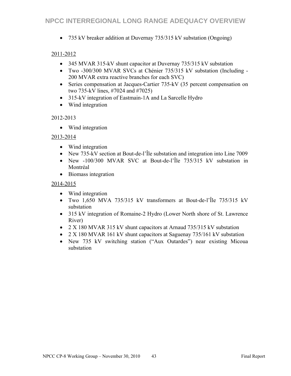735 kV breaker addition at Duvernay 735/315 kV substation (Ongoing)

#### 2011-2012

- 345 MVAR 315-kV shunt capacitor at Duvernay 735/315 kV substation
- Two -300/300 MVAR SVCs at Chénier 735/315 kV substation (Including 200 MVAR extra reactive branches for each SVC)
- Series compensation at Jacques-Cartier 735-kV (35 percent compensation on two 735-kV lines, #7024 and #7025)
- 315-kV integration of Eastmain-1A and La Sarcelle Hydro
- Wind integration

#### 2012-2013

• Wind integration

#### 2013-2014

- Wind integration
- New 735-kV section at Bout-de-l'Île substation and integration into Line 7009
- New -100/300 MVAR SVC at Bout-de-l'Île 735/315 kV substation in Montréal
- Biomass integration

#### 2014-2015

- Wind integration
- Two 1,650 MVA 735/315 kV transformers at Bout-de-l'Île 735/315 kV substation
- 315 kV integration of Romaine-2 Hydro (Lower North shore of St. Lawrence River)
- 2 X 180 MVAR 315 kV shunt capacitors at Arnaud 735/315 kV substation
- 2 X 180 MVAR 161 kV shunt capacitors at Saguenay 735/161 kV substation
- New 735 kV switching station ("Aux Outardes") near existing Micoua substation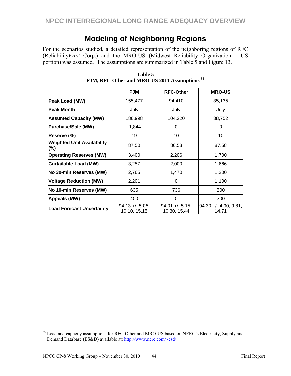## **Modeling of Neighboring Regions**

For the scenarios studied, a detailed representation of the neighboring regions of RFC (Reliability*First* Corp.) and the MRO-US (Midwest Reliability Organization – US portion) was assumed. The assumptions are summarized in Table 5 and Figure 13.

|                                          | <b>PJM</b>                         | <b>RFC-Other</b>                   | <b>MRO-US</b>                    |
|------------------------------------------|------------------------------------|------------------------------------|----------------------------------|
| Peak Load (MW)                           | 155,477                            | 94,410                             | 35,135                           |
| <b>Peak Month</b>                        | July                               | July                               | July                             |
| <b>Assumed Capacity (MW)</b>             | 186,998                            | 104,220                            | 38,752                           |
| <b>Purchase/Sale (MW)</b>                | $-1,844$                           | 0                                  | 0                                |
| Reserve (%)                              | 19                                 | 10                                 | 10                               |
| <b>Weighted Unit Availability</b><br>(%) | 87.50                              | 86.58                              | 87.58                            |
| <b>Operating Reserves (MW)</b>           | 3,400                              | 2,206                              | 1,700                            |
| <b>Curtailable Load (MW)</b>             | 3,257                              | 2,000                              | 1,666                            |
| No 30-min Reserves (MW)                  | 2,765                              | 1,470                              | 1,200                            |
| <b>Voltage Reduction (MW)</b>            | 2,201                              | 0                                  | 1,100                            |
| No 10-min Reserves (MW)                  | 635                                | 736                                | 500                              |
| Appeals (MW)                             | 400                                | $\Omega$                           | 200                              |
| <b>Load Forecast Uncertainty</b>         | $94.13 + - 5.05$ ,<br>10.10, 15.15 | $94.01 + - 5.15$ ,<br>10.30, 15.44 | $94.30 + - 4.90, 9.81,$<br>14.71 |

**Table 5 PJM, RFC-Other and MRO-US 2011 Assumptions <sup>35</sup>**

 $\overline{a}$ 

<sup>&</sup>lt;sup>35</sup> Load and capacity assumptions for RFC-Other and MRO-US based on NERC's Electricity, Supply and Demand Database (ES&D) available at: http://www.nerc.com/~esd/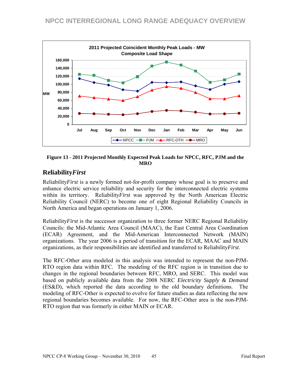

**Figure 13 - 2011 Projected Monthly Expected Peak Loads for NPCC, RFC, PJM and the MRO** 

## **Reliability***First*

Reliability*First* is a newly formed not-for-profit company whose goal is to preserve and enhance electric service reliability and security for the interconnected electric systems within its territory. Reliability*First* was approved by the North American Electric Reliability Council (NERC) to become one of eight Regional Reliability Councils in North America and began operations on January 1, 2006.

Reliability*First* is the successor organization to three former NERC Regional Reliability Councils: the Mid-Atlantic Area Council (MAAC), the East Central Area Coordination (ECAR) Agreement, and the Mid-American Interconnected Network (MAIN) organizations. The year 2006 is a period of transition for the ECAR, MAAC and MAIN organizations, as their responsibilities are identified and transferred to Reliability*First*.

The RFC-Other area modeled in this analysis was intended to represent the non-PJM-RTO region data within RFC. The modeling of the RFC region is in transition due to changes in the regional boundaries between RFC, MRO, and SERC. This model was based on publicly available data from the 2008 NERC *Electricity Supply & Demand* (ES&D), which reported the data according to the old boundary definitions. The modeling of RFC-Other is expected to evolve for future studies as data reflecting the new regional boundaries becomes available. For now, the RFC-Other area is the non-PJM-RTO region that was formerly in either MAIN or ECAR.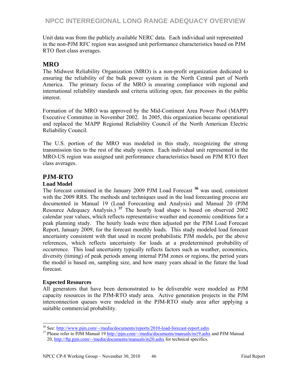Unit data was from the publicly available NERC data. Each individual unit represented in the non-PJM RFC region was assigned unit performance characteristics based on PJM RTO fleet class averages.

## **MRO**

The Midwest Reliability Organization (MRO) is a non-profit organization dedicated to ensuring the reliability of the bulk power system in the North Central part of North America. The primary focus of the MRO is ensuring compliance with regional and international reliability standards and criteria utilizing open, fair processes in the public interest.

Formation of the MRO was approved by the Mid-Continent Area Power Pool (MAPP) Executive Committee in November 2002. In 2005, this organization became operational and replaced the MAPP Regional Reliability Council of the North American Electric Reliability Council.

The U.S. portion of the MRO was modeled in this study, recognizing the strong transmission ties to the rest of the study system. Each individual unit represented in the MRO-US region was assigned unit performance characteristics based on PJM RTO fleet class averages.

### **PJM-RTO**

#### **Load Model**

The forecast contained in the January 2009 PJM Load Forecast **<sup>36</sup>** was used, consistent with the 2009 RRS. The methods and techniques used in the load forecasting process are documented in Manual 19 (Load Forecasting and Analysis) and Manual 20 (PJM Resource Adequacy Analysis.) **<sup>37</sup>** The hourly load shape is based on observed 2002 calendar year values, which reflects representative weather and economic conditions for a peak planning study. The hourly loads were then adjusted per the PJM Load Forecast Report, January 2009, for the forecast monthly loads. This study modeled load forecast uncertainty consistent with that used in recent probabilistic PJM models, per the above references, which reflects uncertainty for loads at a predetermined probability of occurrence. This load uncertainty typically reflects factors such as weather, economics, diversity (timing) of peak periods among internal PJM zones or regions, the period years the model is based on, sampling size, and how many years ahead in the future the load forecast.

#### **Expected Resources**

All generators that have been demonstrated to be deliverable were modeled as PJM capacity resources in the PJM-RTO study area. Active generation projects in the PJM interconnection queues were modeled in the PJM-RTO study area after applying a suitable commercial probability.

<sup>&</sup>lt;sup>36</sup> See: http://www.pim.com/~/media/documents/reports/2010-load-forecast-report.ashx

<sup>&</sup>lt;sup>37</sup> Please refer to PJM Manual 19 http://pjm.com/~/media/documents/manuals/m19.ashx and PJM Manual 20, http://ftp.pjm.com/~/media/documents/manuals/m20.ashx for technical specifics.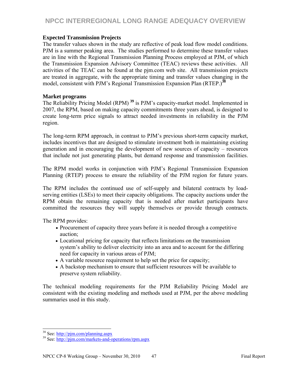#### **Expected Transmission Projects**

The transfer values shown in the study are reflective of peak load flow model conditions. PJM is a summer peaking area. The studies performed to determine these transfer values are in line with the Regional Transmission Planning Process employed at PJM, of which the Transmission Expansion Advisory Committee (TEAC) reviews these activities. All activities of the TEAC can be found at the pjm.com web site. All transmission projects are treated in aggregate, with the appropriate timing and transfer values changing in the model, consistent with PJM's Regional Transmission Expansion Plan (RTEP.)**<sup>38</sup>**

#### **Market programs**

The Reliability Pricing Model (RPM) **<sup>39</sup>** is PJM's capacity-market model. Implemented in 2007, the RPM, based on making capacity commitments three years ahead, is designed to create long-term price signals to attract needed investments in reliability in the PJM region.

The long-term RPM approach, in contrast to PJM's previous short-term capacity market, includes incentives that are designed to stimulate investment both in maintaining existing generation and in encouraging the development of new sources of capacity – resources that include not just generating plants, but demand response and transmission facilities.

The RPM model works in conjunction with PJM's Regional Transmission Expansion Planning (RTEP) process to ensure the reliability of the PJM region for future years.

The RPM includes the continued use of self-supply and bilateral contracts by loadserving entities (LSEs) to meet their capacity obligations. The capacity auctions under the RPM obtain the remaining capacity that is needed after market participants have committed the resources they will supply themselves or provide through contracts.

The RPM provides:

- Procurement of capacity three years before it is needed through a competitive auction;
- Locational pricing for capacity that reflects limitations on the transmission system's ability to deliver electricity into an area and to account for the differing need for capacity in various areas of PJM;
- A variable resource requirement to help set the price for capacity;
- A backstop mechanism to ensure that sufficient resources will be available to preserve system reliability.

The technical modeling requirements for the PJM Reliability Pricing Model are consistent with the existing modeling and methods used at PJM, per the above modeling summaries used in this study.

<sup>&</sup>lt;sup>38</sup> See: http://pjm.com/planning.aspx

 $39$  See: http://pim.com/markets-and-operations/rpm.aspx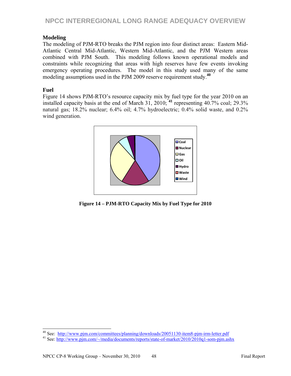#### **Modeling**

The modeling of PJM-RTO breaks the PJM region into four distinct areas: Eastern Mid-Atlantic Central Mid-Atlantic, Western Mid-Atlantic, and the PJM Western areas combined with PJM South. This modeling follows known operational models and constraints while recognizing that areas with high reserves have few events invoking emergency operating procedures. The model in this study used many of the same modeling assumptions used in the PJM 2009 reserve requirement study.**<sup>40</sup>**

#### **Fuel**

Figure 14 shows PJM-RTO's resource capacity mix by fuel type for the year 2010 on an installed capacity basis at the end of March 31, 2010; **<sup>41</sup>** representing 40.7% coal; 29.3% natural gas; 18.2% nuclear; 6.4% oil; 4.7% hydroelectric; 0.4% solid waste, and 0.2% wind generation.



**Figure 14 – PJM-RTO Capacity Mix by Fuel Type for 2010** 

<sup>&</sup>lt;sup>40</sup> See: http://www.pjm.com/committees/planning/downloads/20051130-item8-pjm-irm-letter.pdf

<sup>&</sup>lt;sup>41</sup> See: http://www.pjm.com/~/media/documents/reports/state-of-market/2010/2010q1-som-pjm.ashx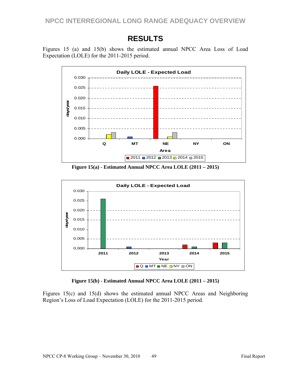## **RESULTS**

Figures 15 (a) and 15(b) shows the estimated annual NPCC Area Loss of Load Expectation (LOLE) for the 2011-2015 period.



**Figure 15(a) - Estimated Annual NPCC Area LOLE (2011 – 2015)** 



**Figure 15(b) - Estimated Annual NPCC Area LOLE (2011 – 2015)** 

Figures 15(c) and 15(d) shows the estimated annual NPCC Areas and Neighboring Region's Loss of Load Expectation (LOLE) for the 2011-2015 period.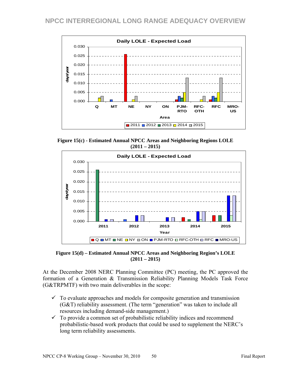

**Figure 15(c) - Estimated Annual NPCC Areas and Neighboring Regions LOLE (2011 – 2015)** 



**Figure 15(d) – Estimated Annual NPCC Areas and Neighboring Region's LOLE (2011 – 2015)** 

At the December 2008 NERC Planning Committee (PC) meeting, the PC approved the formation of a Generation & Transmission Reliability Planning Models Task Force (G&TRPMTF) with two main deliverables in the scope:

- $\checkmark$  To evaluate approaches and models for composite generation and transmission (G&T) reliability assessment. (The term "generation" was taken to include all resources including demand-side management.)
- $\checkmark$  To provide a common set of probabilistic reliability indices and recommend probabilistic-based work products that could be used to supplement the NERC's long term reliability assessments.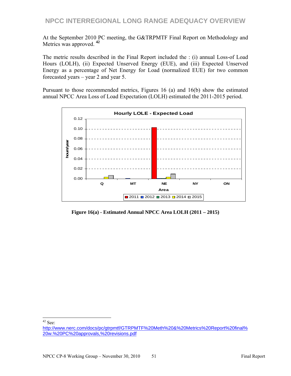At the September 2010 PC meeting, the G&TRPMTF Final Report on Methodology and Metrics was approved. **<sup>42</sup>**

The metric results described in the Final Report included the : (i) annual Loss-of Load Hours (LOLH), (ii) Expected Unserved Energy (EUE), and (iii) Expected Unserved Energy as a percentage of Net Energy for Load (normalized EUE) for two common forecasted years – year 2 and year 5.

Pursuant to those recommended metrics, Figures 16 (a) and 16(b) show the estimated annual NPCC Area Loss of Load Expectation (LOLH) estimated the 2011-2015 period.



**Figure 16(a) - Estimated Annual NPCC Area LOLH (2011 – 2015)** 

 $\overline{a}$  $42$  See:

http://www.nerc.com/docs/pc/gtrpmtf/GTRPMTF%20Meth%20&%20Metrics%20Report%20final% 20w.%20PC%20approvals,%20revisions.pdf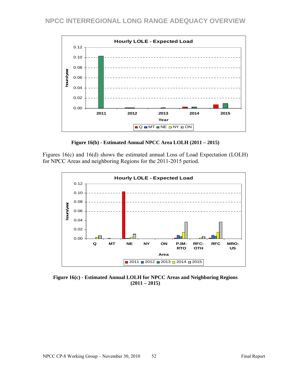

**Figure 16(b) - Estimated Annual NPCC Area LOLH (2011 – 2015)** 

Figures 16(c) and 16(d) shows the estimated annual Loss of Load Expectation (LOLH) for NPCC Areas and neighboring Regions for the 2011-2015 period.



**Figure 16(c) - Estimated Annual LOLH for NPCC Areas and Neighboring Regions (2011 – 2015)**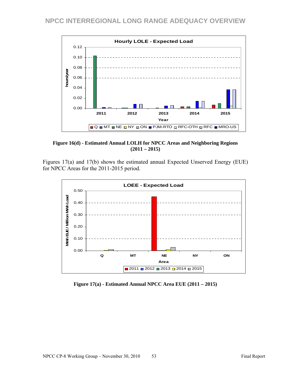

**Figure 16(d) - Estimated Annual LOLH for NPCC Areas and Neighboring Regions (2011 – 2015)** 

Figures 17(a) and 17(b) shows the estimated annual Expected Unserved Energy (EUE) for NPCC Areas for the 2011-2015 period.



**Figure 17(a) - Estimated Annual NPCC Area EUE (2011 – 2015)**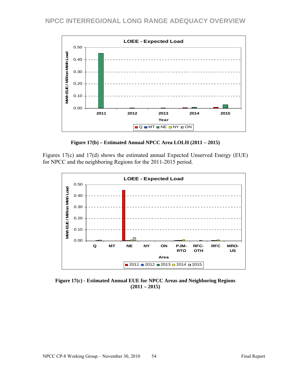

**Figure 17(b) – Estimated Annual NPCC Area LOLH (2011 – 2015)** 

Figures 17(c) and 17(d) shows the estimated annual Expected Unserved Energy (EUE) for NPCC and the neighboring Regions for the 2011-2015 period.



**Figure 17(c) - Estimated Annual EUE for NPCC Areas and Neighboring Regions (2011 – 2015)**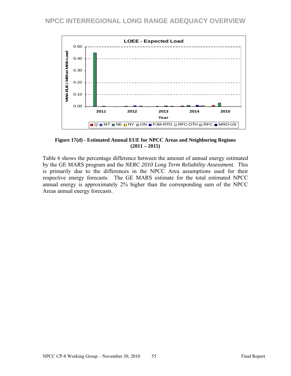

**Figure 17(d) - Estimated Annual EUE for NPCC Areas and Neighboring Regions (2011 – 2015)** 

Table 6 shows the percentage difference between the amount of annual energy estimated by the GE MARS program and the *NERC 2010 Long Term Reliability Assessment*. This is primarily due to the differences in the NPCC Area assumptions used for their respective energy forecasts. The GE MARS estimate for the total estimated NPCC annual energy is approximately 2% higher than the corresponding sum of the NPCC Areas annual energy forecasts.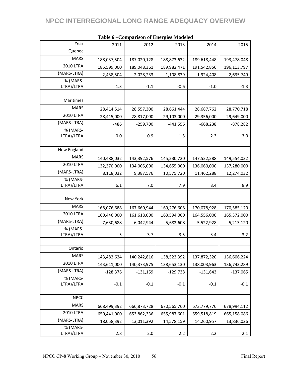| Year                   | 2011        | 2012         | 2013         | 2014         | 2015         |
|------------------------|-------------|--------------|--------------|--------------|--------------|
| Quebec                 |             |              |              |              |              |
| <b>MARS</b>            | 188,037,504 | 187,020,128  | 188,873,632  | 189,618,448  | 193,478,048  |
| <b>2010 LTRA</b>       | 185,599,000 | 189,048,361  | 189,982,471  | 191,542,856  | 196,113,797  |
| (MARS-LTRA)            | 2,438,504   | $-2,028,233$ | $-1,108,839$ | $-1,924,408$ | $-2,635,749$ |
| % (MARS-               |             |              |              |              |              |
| LTRA)/LTRA             | 1.3         | $-1.1$       | $-0.6$       | $-1.0$       | $-1.3$       |
|                        |             |              |              |              |              |
| Maritimes              |             |              |              |              |              |
| <b>MARS</b>            | 28,414,514  | 28,557,300   | 28,661,444   | 28,687,762   | 28,770,718   |
| 2010 LTRA              | 28,415,000  | 28,817,000   | 29,103,000   | 29,356,000   | 29,649,000   |
| (MARS-LTRA)            | $-486$      | $-259,700$   | $-441,556$   | $-668,238$   | $-878,282$   |
| % (MARS-               |             |              |              |              |              |
| LTRA)/LTRA             | 0.0         | $-0.9$       | $-1.5$       | $-2.3$       | $-3.0$       |
|                        |             |              |              |              |              |
| New England            |             |              |              |              |              |
| <b>MARS</b>            | 140,488,032 | 143,392,576  | 145,230,720  | 147,522,288  | 149,554,032  |
| <b>2010 LTRA</b>       | 132,370,000 | 134,005,000  | 134,655,000  | 136,060,000  | 137,280,000  |
| (MARS-LTRA)            | 8,118,032   | 9,387,576    | 10,575,720   | 11,462,288   | 12,274,032   |
| % (MARS-               |             |              |              |              |              |
| LTRA)/LTRA             | 6.1         | 7.0          | 7.9          | 8.4          | 8.9          |
| New York               |             |              |              |              |              |
|                        |             |              |              |              |              |
| <b>MARS</b>            | 168,076,688 | 167,660,944  | 169,276,608  | 170,078,928  | 170,585,120  |
| 2010 LTRA              | 160,446,000 | 161,618,000  | 163,594,000  | 164,556,000  | 165,372,000  |
| (MARS-LTRA)            | 7,630,688   | 6,042,944    | 5,682,608    | 5,522,928    | 5,213,120    |
| % (MARS-               |             |              |              |              |              |
| LTRA)/LTRA             | 5           | 3.7          | 3.5          | 3.4          | 3.2          |
| Ontario                |             |              |              |              |              |
| <b>MARS</b>            |             |              |              |              |              |
|                        | 143,482,624 | 140,242,816  | 138,523,392  | 137,872,320  | 136,606,224  |
| <b>2010 LTRA</b>       | 143,611,000 | 140,373,975  | 138,653,130  | 138,003,963  | 136,743,289  |
| (MARS-LTRA)            | $-128,376$  | $-131,159$   | $-129,738$   | $-131,643$   | $-137,065$   |
| % (MARS-<br>LTRA)/LTRA | $-0.1$      | $-0.1$       | $-0.1$       | $-0.1$       | $-0.1$       |
|                        |             |              |              |              |              |
| <b>NPCC</b>            |             |              |              |              |              |
| <b>MARS</b>            |             |              |              |              |              |
| <b>2010 LTRA</b>       | 668,499,392 | 666,873,728  | 670,565,760  | 673,779,776  | 678,994,112  |
|                        | 650,441,000 | 653,862,336  | 655,987,601  | 659,518,819  | 665,158,086  |
| (MARS-LTRA)            | 18,058,392  | 13,011,392   | 14,578,159   | 14,260,957   | 13,836,026   |
| % (MARS-<br>LTRA)/LTRA | 2.8         | 2.0          | 2.2          | 2.2          | 2.1          |
|                        |             |              |              |              |              |

#### **Table 6 –Comparison of Energies Modeled**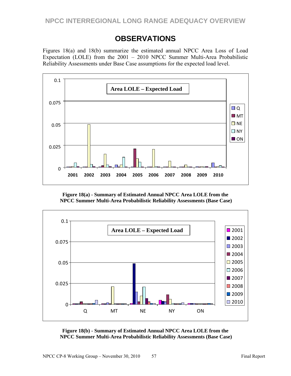## **OBSERVATIONS**

Figures 18(a) and 18(b) summarize the estimated annual NPCC Area Loss of Load Expectation (LOLE) from the 2001 – 2010 NPCC Summer Multi-Area Probabilistic Reliability Assessments under Base Case assumptions for the expected load level.



**Figure 18(a) - Summary of Estimated Annual NPCC Area LOLE from the NPCC Summer Multi-Area Probabilistic Reliability Assessments (Base Case)**



**Figure 18(b) - Summary of Estimated Annual NPCC Area LOLE from the NPCC Summer Multi-Area Probabilistic Reliability Assessments (Base Case)**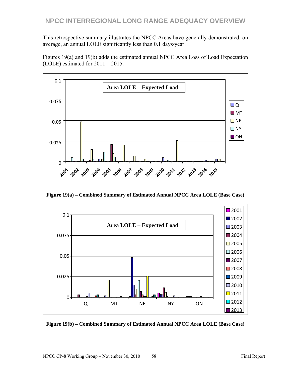This retrospective summary illustrates the NPCC Areas have generally demonstrated, on average, an annual LOLE significantly less than 0.1 days/year.

Figures 19(a) and 19(b) adds the estimated annual NPCC Area Loss of Load Expectation (LOLE) estimated for 2011 – 2015.



**Figure 19(a) – Combined Summary of Estimated Annual NPCC Area LOLE (Base Case)** 



**Figure 19(b) – Combined Summary of Estimated Annual NPCC Area LOLE (Base Case)**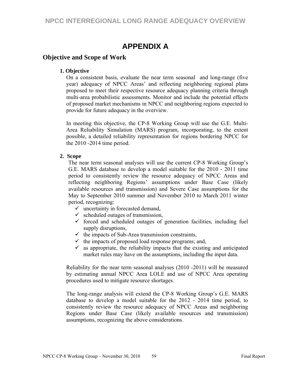## **APPENDIX A**

### **Objective and Scope of Work**

#### **1. Objective**

On a consistent basis, evaluate the near term seasonal and long-range (five year) adequacy of NPCC Areas' and reflecting neighboring regional plans proposed to meet their respective resource adequacy planning criteria through multi-area probabilistic assessments. Monitor and include the potential effects of proposed market mechanisms in NPCC and neighboring regions expected to provide for future adequacy in the overview.

In meeting this objective, the CP-8 Working Group will use the G.E. Multi-Area Reliability Simulation (MARS) program, incorporating, to the extent possible, a detailed reliability representation for regions bordering NPCC for the 2010 -2014 time period.

#### **2. Scope**

The near term seasonal analyses will use the current CP-8 Working Group's G.E. MARS database to develop a model suitable for the 2010 - 2011 time period to consistently review the resource adequacy of NPCC Areas and reflecting neighboring Regions' assumptions under Base Case (likely available resources and transmission) and Severe Case assumptions for the May to September 2010 summer and November 2010 to March 2011 winter period, recognizing:

- $\checkmark$  uncertainty in forecasted demand,
- $\checkmark$  scheduled outages of transmission,
- $\checkmark$  forced and scheduled outages of generation facilities, including fuel supply disruptions,
- $\checkmark$  the impacts of Sub-Area transmission constraints,
- $\checkmark$  the impacts of proposed load response programs; and,
- $\checkmark$  as appropriate, the reliability impacts that the existing and anticipated market rules may have on the assumptions, including the input data.

Reliability for the near term seasonal analyses (2010 -2011) will be measured by estimating annual NPCC Area LOLE and use of NPCC Area operating procedures used to mitigate resource shortages.

The long-range analysis will extend the CP-8 Working Group's G.E. MARS database to develop a model suitable for the 2012 - 2014 time period, to consistently review the resource adequacy of NPCC Areas and neighboring Regions under Base Case (likely available resources and transmission) assumptions, recognizing the above considerations.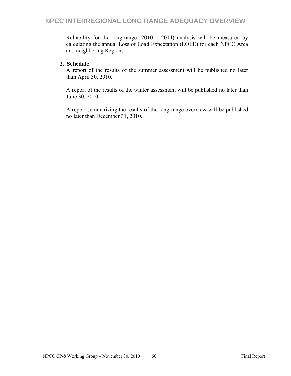Reliability for the long-range  $(2010 - 2014)$  analysis will be measured by calculating the annual Loss of Load Expectation (LOLE) for each NPCC Area and neighboring Regions.

#### **3. Schedule**

A report of the results of the summer assessment will be published no later than April 30, 2010.

A report of the results of the winter assessment will be published no later than June 30, 2010.

A report summarizing the results of the long-range overview will be published no later than December 31, 2010.